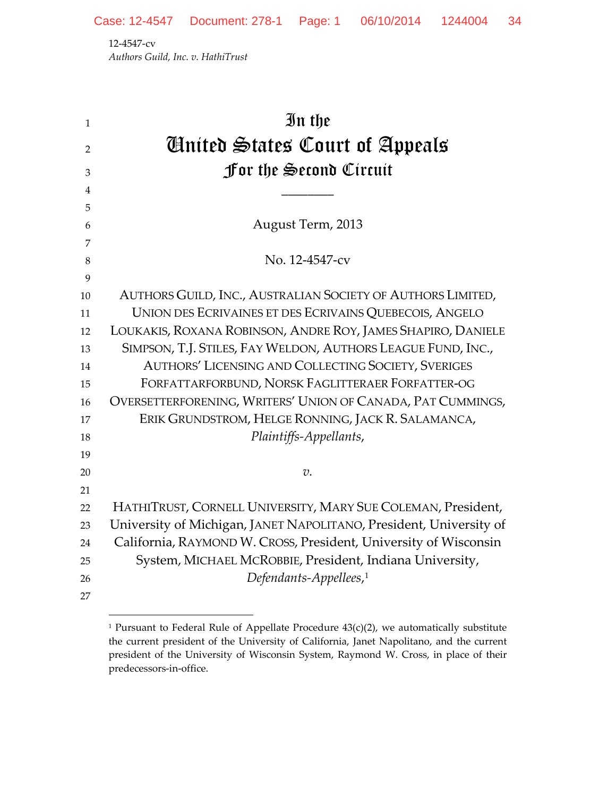‐4547‐cv *Authors Guild, Inc. v. HathiTrust*

| 1  | In the                                                             |
|----|--------------------------------------------------------------------|
| 2  | Ginited States Court of Appeals                                    |
| 3  | For the Second Circuit                                             |
| 4  |                                                                    |
| 5  |                                                                    |
| 6  | August Term, 2013                                                  |
| 7  |                                                                    |
| 8  | No. 12-4547-cv                                                     |
| 9  |                                                                    |
| 10 | AUTHORS GUILD, INC., AUSTRALIAN SOCIETY OF AUTHORS LIMITED,        |
| 11 | UNION DES ECRIVAINES ET DES ECRIVAINS QUEBECOIS, ANGELO            |
| 12 | LOUKAKIS, ROXANA ROBINSON, ANDRE ROY, JAMES SHAPIRO, DANIELE       |
| 13 | SIMPSON, T.J. STILES, FAY WELDON, AUTHORS LEAGUE FUND, INC.,       |
| 14 | AUTHORS' LICENSING AND COLLECTING SOCIETY, SVERIGES                |
| 15 | FORFATTARFORBUND, NORSK FAGLITTERAER FORFATTER-OG                  |
| 16 | OVERSETTERFORENING, WRITERS' UNION OF CANADA, PAT CUMMINGS,        |
| 17 | ERIK GRUNDSTROM, HELGE RONNING, JACK R. SALAMANCA,                 |
| 18 | Plaintiffs-Appellants,                                             |
| 19 |                                                                    |
| 20 | $v$ .                                                              |
| 21 |                                                                    |
| 22 | HATHITRUST, CORNELL UNIVERSITY, MARY SUE COLEMAN, President,       |
| 23 | University of Michigan, JANET NAPOLITANO, President, University of |
| 24 | California, RAYMOND W. CROSS, President, University of Wisconsin   |
| 25 | System, MICHAEL MCROBBIE, President, Indiana University,           |
| 26 | Defendants-Appellees, <sup>1</sup>                                 |
| 27 |                                                                    |

 Pursuant to Federal Rule of Appellate Procedure  $43(c)(2)$ , we automatically substitute the current president of the University of California, Janet Napolitano, and the current president of the University of Wisconsin System, Raymond W. Cross, in place of their predecessors‐in‐office.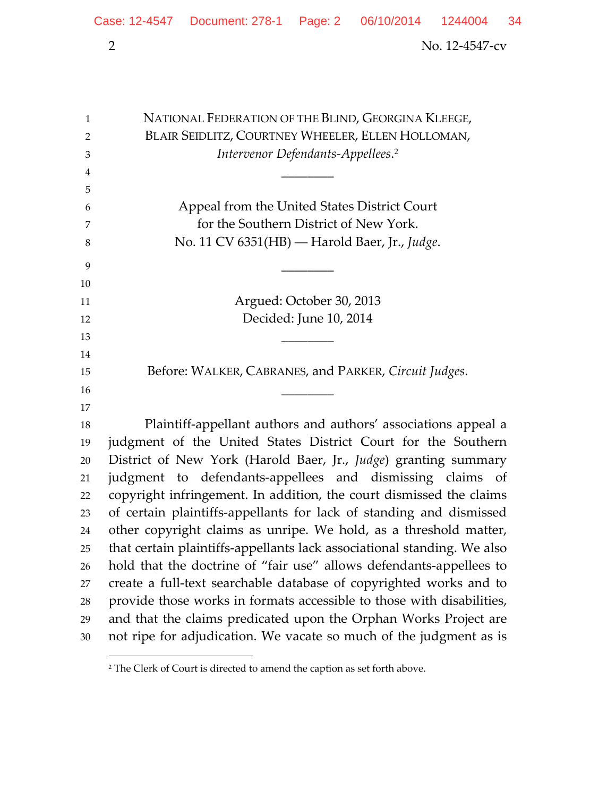| $\mathbf{1}$ | NATIONAL FEDERATION OF THE BLIND, GEORGINA KLEEGE,                      |
|--------------|-------------------------------------------------------------------------|
| 2            | BLAIR SEIDLITZ, COURTNEY WHEELER, ELLEN HOLLOMAN,                       |
| 3            | Intervenor Defendants-Appellees. <sup>2</sup>                           |
| 4            |                                                                         |
| 5            |                                                                         |
| 6            | Appeal from the United States District Court                            |
| 7            | for the Southern District of New York.                                  |
| 8            | No. 11 CV 6351(HB) - Harold Baer, Jr., Judge.                           |
| 9            |                                                                         |
| 10           |                                                                         |
| 11           | Argued: October 30, 2013                                                |
| 12           | Decided: June 10, 2014                                                  |
| 13           |                                                                         |
| 14           |                                                                         |
| 15           | Before: WALKER, CABRANES, and PARKER, Circuit Judges.                   |
| 16           |                                                                         |
| 17           |                                                                         |
| 18           | Plaintiff-appellant authors and authors' associations appeal a          |
| 19           | judgment of the United States District Court for the Southern           |
| 20           | District of New York (Harold Baer, Jr., Judge) granting summary         |
| 21           | judgment to defendants-appellees and dismissing claims of               |
| 22           | copyright infringement. In addition, the court dismissed the claims     |
| 23           | of certain plaintiffs-appellants for lack of standing and dismissed     |
| 24           | other copyright claims as unripe. We hold, as a threshold matter,       |
| 25           | that certain plaintiffs-appellants lack associational standing. We also |
| 26           | hold that the doctrine of "fair use" allows defendants-appellees to     |
| 27           | create a full-text searchable database of copyrighted works and to      |
| 28           | provide those works in formats accessible to those with disabilities,   |
| 29           | and that the claims predicated upon the Orphan Works Project are        |
| 30           | not ripe for adjudication. We vacate so much of the judgment as is      |

The Clerk of Court is directed to amend the caption as set forth above.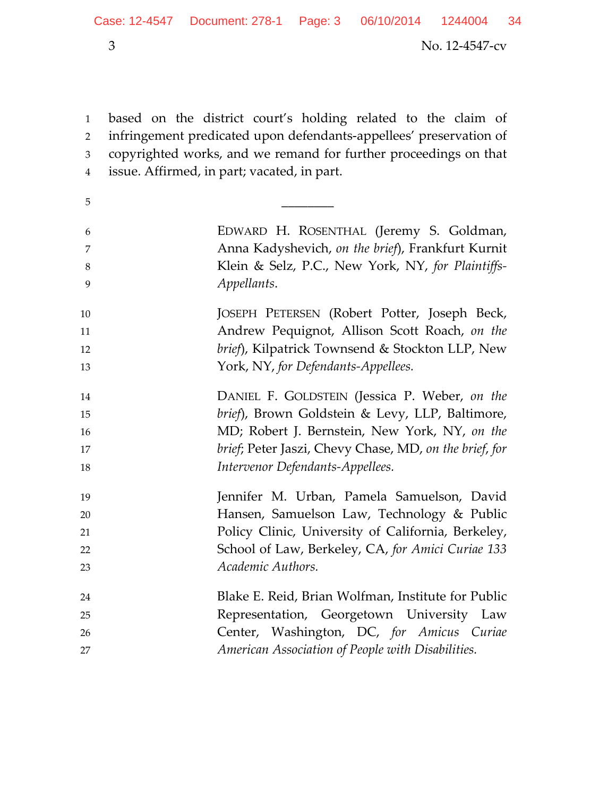based on the district court's holding related to the claim of infringement predicated upon defendants‐appellees' preservation of copyrighted works, and we remand for further proceedings on that issue. Affirmed, in part; vacated, in part.

- \_\_\_\_\_\_\_\_
- EDWARD H. ROSENTHAL (Jeremy S. Goldman, Anna Kadyshevich, *on the brief*), Frankfurt Kurnit Klein & Selz, P.C., New York, NY, *for Plaintiffs‐ Appellants*.
- JOSEPH PETERSEN (Robert Potter, Joseph Beck, Andrew Pequignot, Allison Scott Roach, *on the brief*), Kilpatrick Townsend & Stockton LLP, New York, NY, *for Defendants‐Appellees.*
- DANIEL F. GOLDSTEIN (Jessica P. Weber, *on the brief*), Brown Goldstein & Levy, LLP, Baltimore, MD; Robert J. Bernstein, New York, NY, *on the brief*; Peter Jaszi, Chevy Chase, MD, *on the brief*, *for Intervenor Defendants‐Appellees.*
- Jennifer M. Urban, Pamela Samuelson, David Hansen, Samuelson Law, Technology & Public Policy Clinic, University of California, Berkeley, School of Law, Berkeley, CA, *for Amici Curiae 133 Academic Authors.*
- Blake E. Reid, Brian Wolfman, Institute for Public Representation, Georgetown University Law Center, Washington, DC, *for Amicus Curiae American Association of People with Disabilities.*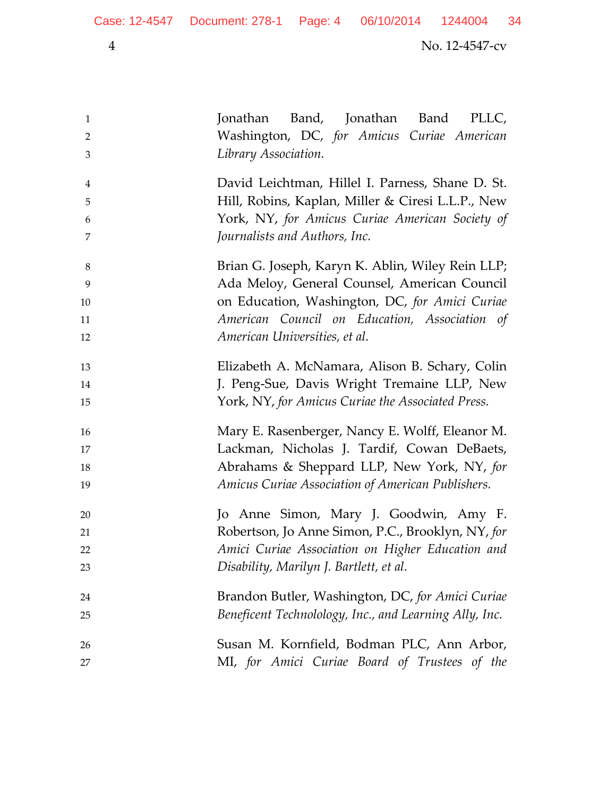| $\mathbf{1}$   | Jonathan Band, Jonathan Band<br>PLLC,                  |
|----------------|--------------------------------------------------------|
| 2              | Washington, DC, for Amicus Curiae American             |
| $\mathfrak{Z}$ | Library Association.                                   |
| $\overline{4}$ | David Leichtman, Hillel I. Parness, Shane D. St.       |
| 5              | Hill, Robins, Kaplan, Miller & Ciresi L.L.P., New      |
| 6              | York, NY, for Amicus Curiae American Society of        |
| 7              | Journalists and Authors, Inc.                          |
| $8\phantom{1}$ | Brian G. Joseph, Karyn K. Ablin, Wiley Rein LLP;       |
| 9              | Ada Meloy, General Counsel, American Council           |
| 10             | on Education, Washington, DC, for Amici Curiae         |
| 11             | American Council on Education, Association of          |
| 12             | American Universities, et al.                          |
| 13             | Elizabeth A. McNamara, Alison B. Schary, Colin         |
| 14             | J. Peng-Sue, Davis Wright Tremaine LLP, New            |
| 15             | York, NY, for Amicus Curiae the Associated Press.      |
| 16             | Mary E. Rasenberger, Nancy E. Wolff, Eleanor M.        |
| 17             | Lackman, Nicholas J. Tardif, Cowan DeBaets,            |
| 18             | Abrahams & Sheppard LLP, New York, NY, for             |
| 19             | Amicus Curiae Association of American Publishers.      |
| 20             | Jo Anne Simon, Mary J. Goodwin, Amy F.                 |
| 21             | Robertson, Jo Anne Simon, P.C., Brooklyn, NY, for      |
| 22             | Amici Curiae Association on Higher Education and       |
| 23             | Disability, Marilyn J. Bartlett, et al.                |
| 24             | Brandon Butler, Washington, DC, for Amici Curiae       |
| 25             | Beneficent Technolology, Inc., and Learning Ally, Inc. |
| 26             | Susan M. Kornfield, Bodman PLC, Ann Arbor,             |
| 27             | MI, for Amici Curiae Board of Trustees of the          |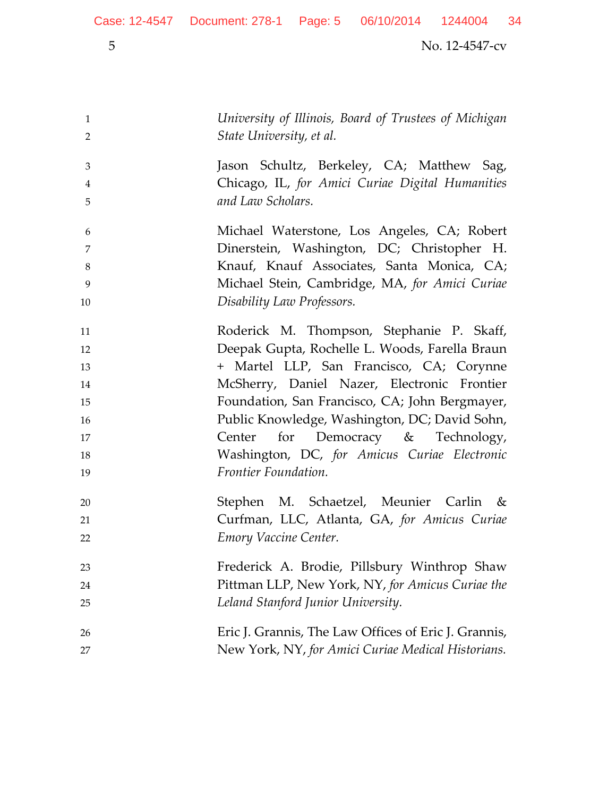| 1<br>$\overline{2}$ | University of Illinois, Board of Trustees of Michigan<br>State University, et al. |
|---------------------|-----------------------------------------------------------------------------------|
| 3                   | Jason Schultz, Berkeley, CA; Matthew Sag,                                         |
| $\overline{4}$      | Chicago, IL, for Amici Curiae Digital Humanities                                  |
| 5                   | and Law Scholars.                                                                 |
| 6                   | Michael Waterstone, Los Angeles, CA; Robert                                       |
| 7                   | Dinerstein, Washington, DC; Christopher H.                                        |
| 8                   | Knauf, Knauf Associates, Santa Monica, CA;                                        |
| 9                   | Michael Stein, Cambridge, MA, for Amici Curiae                                    |
| 10                  | Disability Law Professors.                                                        |
| 11                  | Roderick M. Thompson, Stephanie P. Skaff,                                         |
| 12                  | Deepak Gupta, Rochelle L. Woods, Farella Braun                                    |
| 13                  | + Martel LLP, San Francisco, CA; Corynne                                          |
| 14                  | McSherry, Daniel Nazer, Electronic Frontier                                       |
| 15                  | Foundation, San Francisco, CA; John Bergmayer,                                    |
| 16                  | Public Knowledge, Washington, DC; David Sohn,                                     |
| 17                  | Center for Democracy & Technology,                                                |
| 18                  | Washington, DC, for Amicus Curiae Electronic                                      |
| 19                  | Frontier Foundation.                                                              |
| 20                  | Stephen M. Schaetzel, Meunier Carlin<br>$\&$                                      |
| 21                  | Curfman, LLC, Atlanta, GA, for Amicus Curiae                                      |
| 22                  | <b>Emory Vaccine Center.</b>                                                      |
| 23                  | Frederick A. Brodie, Pillsbury Winthrop Shaw                                      |
| 24                  | Pittman LLP, New York, NY, for Amicus Curiae the                                  |
| 25                  | Leland Stanford Junior University.                                                |
| 26                  | Eric J. Grannis, The Law Offices of Eric J. Grannis,                              |
| 27                  | New York, NY, for Amici Curiae Medical Historians.                                |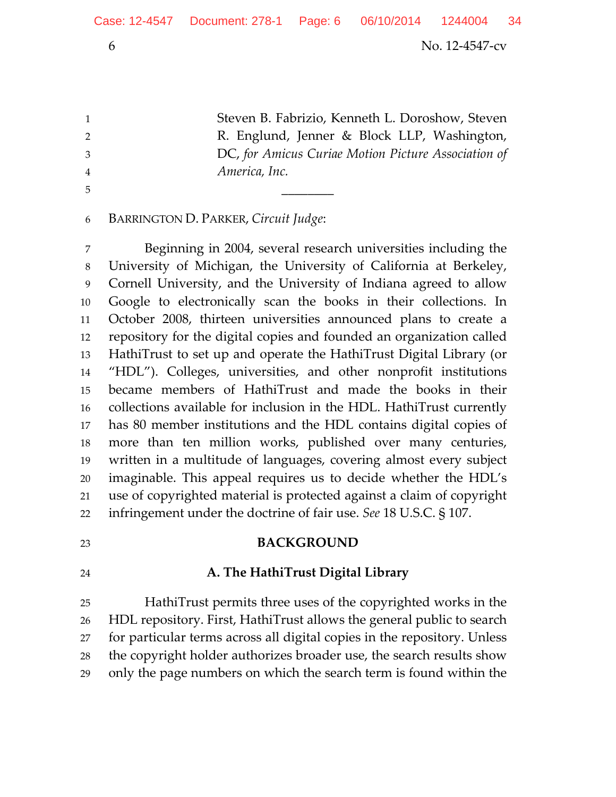Steven B. Fabrizio, Kenneth L. Doroshow, Steven R. Englund, Jenner & Block LLP, Washington, DC, *for Amicus Curiae Motion Picture Association of America, Inc.*

BARRINGTON D. PARKER, *Circuit Judge*:

\_\_\_\_\_\_\_\_

 Beginning in 2004, several research universities including the University of Michigan, the University of California at Berkeley, Cornell University, and the University of Indiana agreed to allow Google to electronically scan the books in their collections. In October 2008, thirteen universities announced plans to create a repository for the digital copies and founded an organization called HathiTrust to set up and operate the HathiTrust Digital Library (or "HDL"). Colleges, universities, and other nonprofit institutions became members of HathiTrust and made the books in their collections available for inclusion in the HDL. HathiTrust currently has 80 member institutions and the HDL contains digital copies of more than ten million works, published over many centuries, written in a multitude of languages, covering almost every subject imaginable. This appeal requires us to decide whether the HDL's use of copyrighted material is protected against a claim of copyright infringement under the doctrine of fair use. *See* 18 U.S.C. § 107.

#### **BACKGROUND**

### **A. The HathiTrust Digital Library**

 HathiTrust permits three uses of the copyrighted works in the HDL repository. First, HathiTrust allows the general public to search for particular terms across all digital copies in the repository. Unless the copyright holder authorizes broader use, the search results show only the page numbers on which the search term is found within the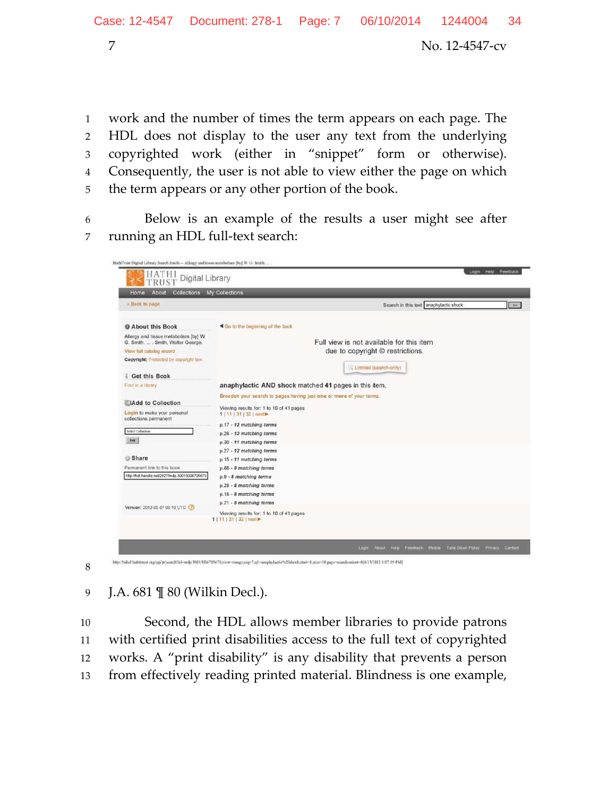

 work and the number of times the term appears on each page. The HDL does not display to the user any text from the underlying copyrighted work (either in "snippet" form or otherwise). Consequently, the user is not able to view either the page on which the term appears or any other portion of the book.

 Below is an example of the results a user might see after 7 running an HDL full-text search:

| Home About<br>Collections My Collections<br>« Back to page<br>Search in this text anaphylactic shock<br>< Go to the beginning of the book<br><b>@ About this Book</b><br>Allergy and tissue metabolism [by] W.<br>Full view is not available for this item<br>G. Smith.  . Smith, Walter George.<br>due to copyright © restrictions.<br>View full catalog record<br>Copyright: Protected by copyright law.<br>Limited (search-only)<br><b>Get this Book</b><br>anaphylactic AND shock matched 41 pages in this item.<br>Find in a library<br>Broaden your search to pages having just one or more of your terms.<br>Add to Collection<br>Viewing results for: 1 to 10 of 41 pages<br>Login to make your personal<br>1   11   31   32   next▶<br>collections permanent<br>p.17 - 12 metching terms<br><b>Select Collection</b><br>p.26 - 13 metching terms<br>Add<br>p.30 - 11 matching terms<br>p.27 - 12 metching terms<br><b>Share</b><br>p.15 - 11 metching terms<br>Permanent link to this book<br>p.88 - 9 matching terms<br>http://hdl.handle.net/2027/mdp.39015006705670<br>p.9 - 8 matching terms<br>p.28 - 8 matching terms<br>p.18 - 8 matching terms<br>p.21 - 8 matching terms<br>Version: 2012-05-07 09:10 UTC (?)<br>Viewing results for: 1 to 10 of 41 pages<br>1   11   31   32   next | Digital Library |                   |
|--------------------------------------------------------------------------------------------------------------------------------------------------------------------------------------------------------------------------------------------------------------------------------------------------------------------------------------------------------------------------------------------------------------------------------------------------------------------------------------------------------------------------------------------------------------------------------------------------------------------------------------------------------------------------------------------------------------------------------------------------------------------------------------------------------------------------------------------------------------------------------------------------------------------------------------------------------------------------------------------------------------------------------------------------------------------------------------------------------------------------------------------------------------------------------------------------------------------------------------------------------------------------------------------------------|-----------------|-------------------|
|                                                                                                                                                                                                                                                                                                                                                                                                                                                                                                                                                                                                                                                                                                                                                                                                                                                                                                                                                                                                                                                                                                                                                                                                                                                                                                        |                 |                   |
|                                                                                                                                                                                                                                                                                                                                                                                                                                                                                                                                                                                                                                                                                                                                                                                                                                                                                                                                                                                                                                                                                                                                                                                                                                                                                                        |                 | Fast <sup>1</sup> |
|                                                                                                                                                                                                                                                                                                                                                                                                                                                                                                                                                                                                                                                                                                                                                                                                                                                                                                                                                                                                                                                                                                                                                                                                                                                                                                        |                 |                   |
|                                                                                                                                                                                                                                                                                                                                                                                                                                                                                                                                                                                                                                                                                                                                                                                                                                                                                                                                                                                                                                                                                                                                                                                                                                                                                                        |                 |                   |
|                                                                                                                                                                                                                                                                                                                                                                                                                                                                                                                                                                                                                                                                                                                                                                                                                                                                                                                                                                                                                                                                                                                                                                                                                                                                                                        |                 |                   |
|                                                                                                                                                                                                                                                                                                                                                                                                                                                                                                                                                                                                                                                                                                                                                                                                                                                                                                                                                                                                                                                                                                                                                                                                                                                                                                        |                 |                   |
|                                                                                                                                                                                                                                                                                                                                                                                                                                                                                                                                                                                                                                                                                                                                                                                                                                                                                                                                                                                                                                                                                                                                                                                                                                                                                                        |                 |                   |
|                                                                                                                                                                                                                                                                                                                                                                                                                                                                                                                                                                                                                                                                                                                                                                                                                                                                                                                                                                                                                                                                                                                                                                                                                                                                                                        |                 |                   |
|                                                                                                                                                                                                                                                                                                                                                                                                                                                                                                                                                                                                                                                                                                                                                                                                                                                                                                                                                                                                                                                                                                                                                                                                                                                                                                        |                 |                   |
|                                                                                                                                                                                                                                                                                                                                                                                                                                                                                                                                                                                                                                                                                                                                                                                                                                                                                                                                                                                                                                                                                                                                                                                                                                                                                                        |                 |                   |
|                                                                                                                                                                                                                                                                                                                                                                                                                                                                                                                                                                                                                                                                                                                                                                                                                                                                                                                                                                                                                                                                                                                                                                                                                                                                                                        |                 |                   |
|                                                                                                                                                                                                                                                                                                                                                                                                                                                                                                                                                                                                                                                                                                                                                                                                                                                                                                                                                                                                                                                                                                                                                                                                                                                                                                        |                 |                   |
|                                                                                                                                                                                                                                                                                                                                                                                                                                                                                                                                                                                                                                                                                                                                                                                                                                                                                                                                                                                                                                                                                                                                                                                                                                                                                                        |                 |                   |
|                                                                                                                                                                                                                                                                                                                                                                                                                                                                                                                                                                                                                                                                                                                                                                                                                                                                                                                                                                                                                                                                                                                                                                                                                                                                                                        |                 |                   |

J.A. 681 ¶ 80 (Wilkin Decl.).

 Second, the HDL allows member libraries to provide patrons with certified print disabilities access to the full text of copyrighted works. A "print disability" is any disability that prevents a person from effectively reading printed material. Blindness is one example,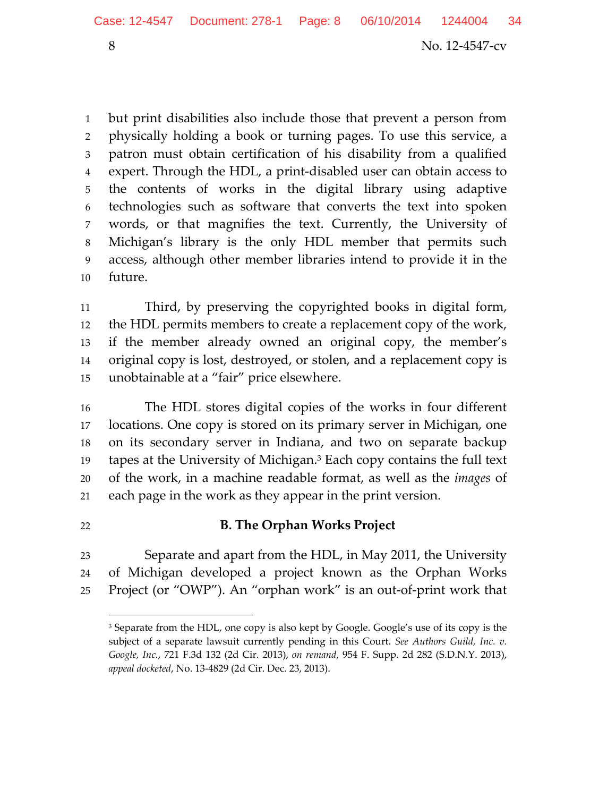but print disabilities also include those that prevent a person from physically holding a book or turning pages. To use this service, a patron must obtain certification of his disability from a qualified expert. Through the HDL, a print‐disabled user can obtain access to the contents of works in the digital library using adaptive technologies such as software that converts the text into spoken words, or that magnifies the text. Currently, the University of Michigan's library is the only HDL member that permits such access, although other member libraries intend to provide it in the future.

 Third, by preserving the copyrighted books in digital form, the HDL permits members to create a replacement copy of the work, if the member already owned an original copy, the member's original copy is lost, destroyed, or stolen, and a replacement copy is unobtainable at a "fair" price elsewhere.

 The HDL stores digital copies of the works in four different locations. One copy is stored on its primary server in Michigan, one on its secondary server in Indiana, and two on separate backup tapes at the University of Michigan.<sup>3</sup> Each copy contains the full text of the work, in a machine readable format, as well as the *images* of each page in the work as they appear in the print version.

<u> 1989 - Johann Barn, mars eta bainar eta industrial eta bainar eta baina eta baina eta baina eta baina eta ba</u>

# **B. The Orphan Works Project**

 Separate and apart from the HDL, in May 2011, the University of Michigan developed a project known as the Orphan Works Project (or "OWP"). An "orphan work" is an out‐of‐print work that

<sup>&</sup>lt;sup>3</sup> Separate from the HDL, one copy is also kept by Google. Google's use of its copy is the subject of a separate lawsuit currently pending in this Court. *See Authors Guild, Inc. v. Google, Inc.*, 721 F.3d 132 (2d Cir. 2013), *on remand*, 954 F. Supp. 2d 282 (S.D.N.Y. 2013), *appeal docketed*, No. 13‐4829 (2d Cir. Dec. 23, 2013).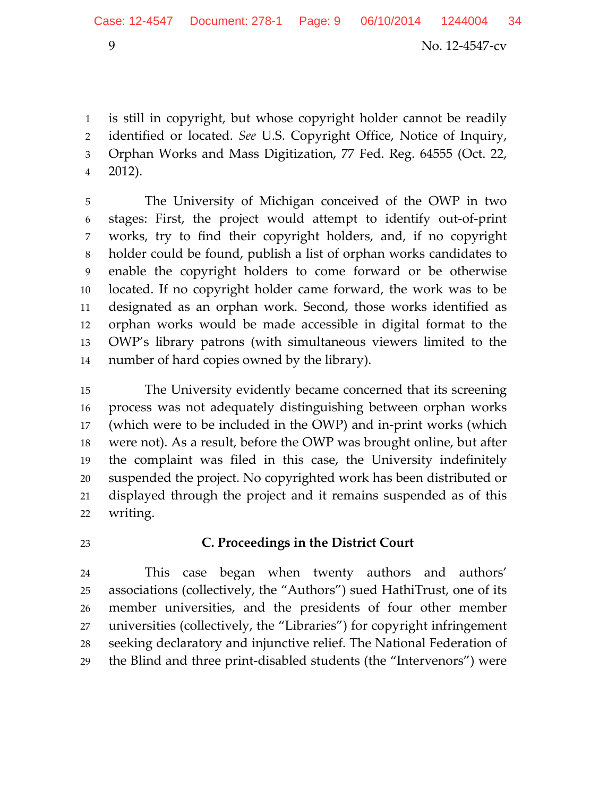is still in copyright, but whose copyright holder cannot be readily identified or located. *See* U.S. Copyright Office, Notice of Inquiry, Orphan Works and Mass Digitization, 77 Fed. Reg. 64555 (Oct. 22, 2012).

 The University of Michigan conceived of the OWP in two stages: First, the project would attempt to identify out‐of‐print works, try to find their copyright holders, and, if no copyright holder could be found, publish a list of orphan works candidates to enable the copyright holders to come forward or be otherwise located. If no copyright holder came forward, the work was to be designated as an orphan work. Second, those works identified as orphan works would be made accessible in digital format to the OWP's library patrons (with simultaneous viewers limited to the number of hard copies owned by the library).

 The University evidently became concerned that its screening process was not adequately distinguishing between orphan works (which were to be included in the OWP) and in‐print works (which were not). As a result, before the OWP was brought online, but after the complaint was filed in this case, the University indefinitely suspended the project. No copyrighted work has been distributed or displayed through the project and it remains suspended as of this writing.

# **C. Proceedings in the District Court**

 This case began when twenty authors and authors' associations (collectively, the "Authors") sued HathiTrust, one of its member universities, and the presidents of four other member universities (collectively, the "Libraries") for copyright infringement seeking declaratory and injunctive relief. The National Federation of the Blind and three print‐disabled students (the "Intervenors") were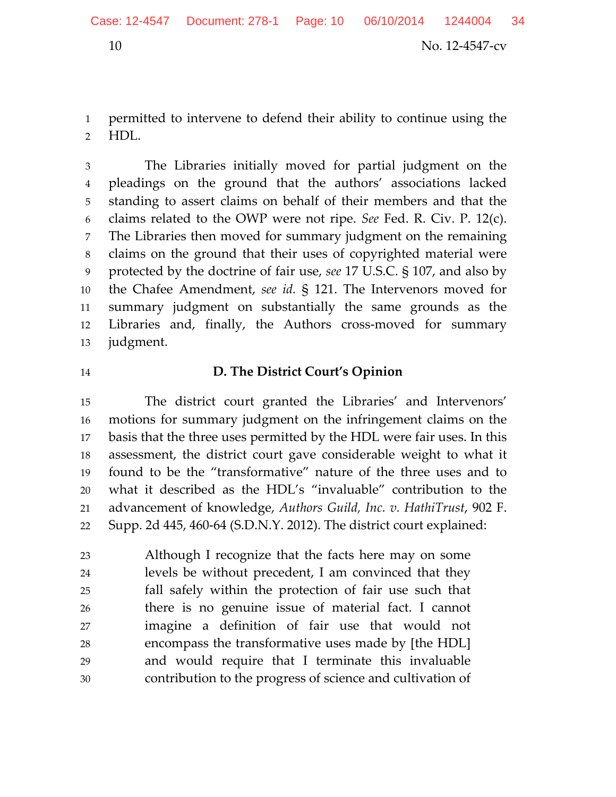permitted to intervene to defend their ability to continue using the HDL.

 The Libraries initially moved for partial judgment on the pleadings on the ground that the authors' associations lacked standing to assert claims on behalf of their members and that the claims related to the OWP were not ripe. *See* Fed. R. Civ. P. 12(c). The Libraries then moved for summary judgment on the remaining claims on the ground that their uses of copyrighted material were protected by the doctrine of fair use, *see* 17 U.S.C. § 107, and also by the Chafee Amendment, *see id.* § 121. The Intervenors moved for summary judgment on substantially the same grounds as the 12 Libraries and, finally, the Authors cross-moved for summary judgment.

## **D. The District Court's Opinion**

 The district court granted the Libraries' and Intervenors' motions for summary judgment on the infringement claims on the basis that the three uses permitted by the HDL were fair uses. In this assessment, the district court gave considerable weight to what it found to be the "transformative" nature of the three uses and to what it described as the HDL's "invaluable" contribution to the advancement of knowledge, *Authors Guild, Inc. v. HathiTrust*, 902 F. Supp. 2d 445, 460‐64 (S.D.N.Y. 2012). The district court explained:

 Although I recognize that the facts here may on some levels be without precedent, I am convinced that they fall safely within the protection of fair use such that there is no genuine issue of material fact. I cannot imagine a definition of fair use that would not encompass the transformative uses made by [the HDL] and would require that I terminate this invaluable contribution to the progress of science and cultivation of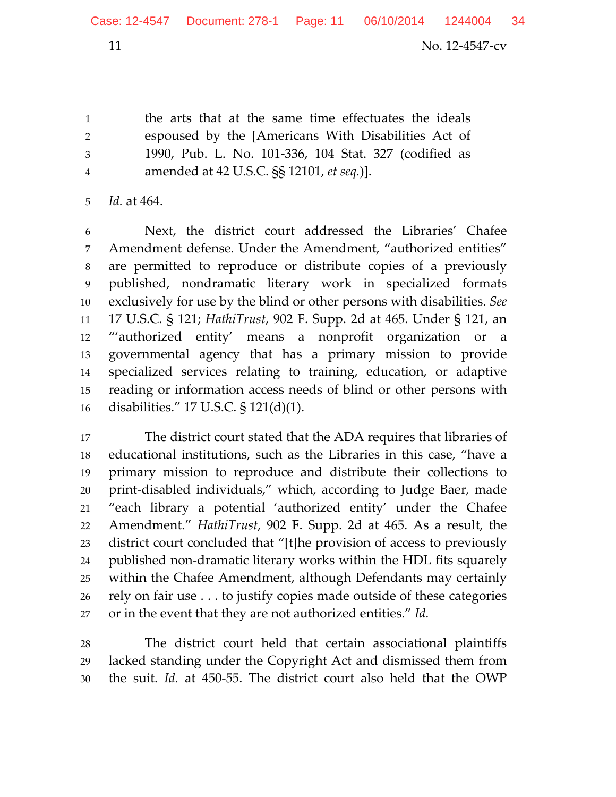the arts that at the same time effectuates the ideals espoused by the [Americans With Disabilities Act of 1990, Pub. L. No. 101‐336, 104 Stat. 327 (codified as amended at 42 U.S.C. §§ 12101, *et seq.*)].

*Id.* at 464.

 Next, the district court addressed the Libraries' Chafee Amendment defense. Under the Amendment, "authorized entities" are permitted to reproduce or distribute copies of a previously published, nondramatic literary work in specialized formats exclusively for use by the blind or other persons with disabilities. *See* 17 U.S.C. § 121; *HathiTrust*, 902 F. Supp. 2d at 465. Under § 121, an "'authorized entity' means a nonprofit organization or a governmental agency that has a primary mission to provide specialized services relating to training, education, or adaptive reading or information access needs of blind or other persons with disabilities." 17 U.S.C. § 121(d)(1).

 The district court stated that the ADA requires that libraries of educational institutions, such as the Libraries in this case, "have a primary mission to reproduce and distribute their collections to print‐disabled individuals," which, according to Judge Baer, made "each library a potential 'authorized entity' under the Chafee Amendment." *HathiTrust*, 902 F. Supp. 2d at 465. As a result, the district court concluded that "[t]he provision of access to previously published non‐dramatic literary works within the HDL fits squarely within the Chafee Amendment, although Defendants may certainly rely on fair use . . . to justify copies made outside of these categories or in the event that they are not authorized entities." *Id.*

 The district court held that certain associational plaintiffs lacked standing under the Copyright Act and dismissed them from the suit. *Id.* at 450‐55. The district court also held that the OWP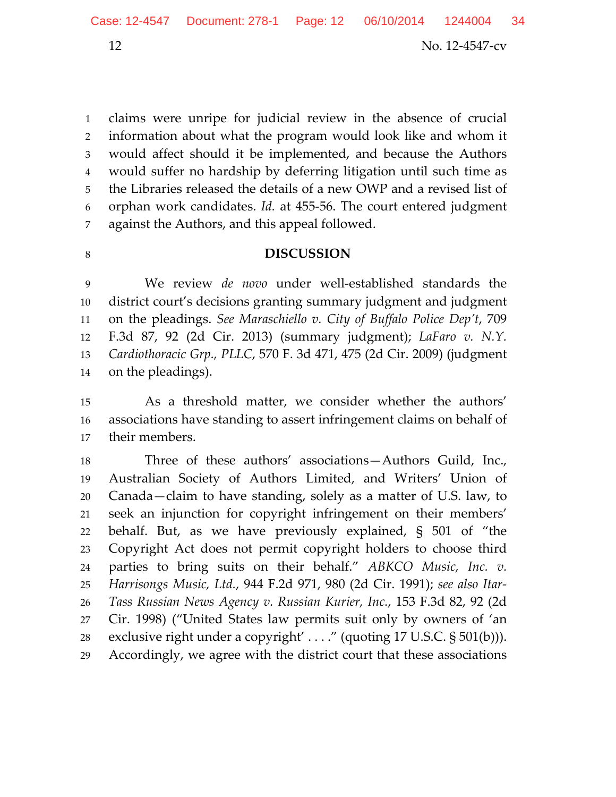claims were unripe for judicial review in the absence of crucial information about what the program would look like and whom it would affect should it be implemented, and because the Authors would suffer no hardship by deferring litigation until such time as the Libraries released the details of a new OWP and a revised list of orphan work candidates. *Id.* at 455‐56. The court entered judgment against the Authors, and this appeal followed.

### **DISCUSSION**

 We review *de novo* under well‐established standards the district court's decisions granting summary judgment and judgment on the pleadings. *See Maraschiello v. City of Buffalo Police Dep't*, 709 F.3d 87, 92 (2d Cir. 2013) (summary judgment); *LaFaro v. N.Y. Cardiothoracic Grp., PLLC*, 570 F. 3d 471, 475 (2d Cir. 2009) (judgment on the pleadings).

 As a threshold matter, we consider whether the authors' associations have standing to assert infringement claims on behalf of their members.

 Three of these authors' associations—Authors Guild, Inc., Australian Society of Authors Limited, and Writers' Union of Canada—claim to have standing, solely as a matter of U.S. law, to seek an injunction for copyright infringement on their members' behalf. But, as we have previously explained, § 501 of "the Copyright Act does not permit copyright holders to choose third parties to bring suits on their behalf." *ABKCO Music, Inc. v. Harrisongs Music, Ltd.*, 944 F.2d 971, 980 (2d Cir. 1991); *see also Itar‐ Tass Russian News Agency v. Russian Kurier, Inc.*, 153 F.3d 82, 92 (2d Cir. 1998) ("United States law permits suit only by owners of 'an exclusive right under a copyright' . . . ." (quoting 17 U.S.C. § 501(b))). Accordingly, we agree with the district court that these associations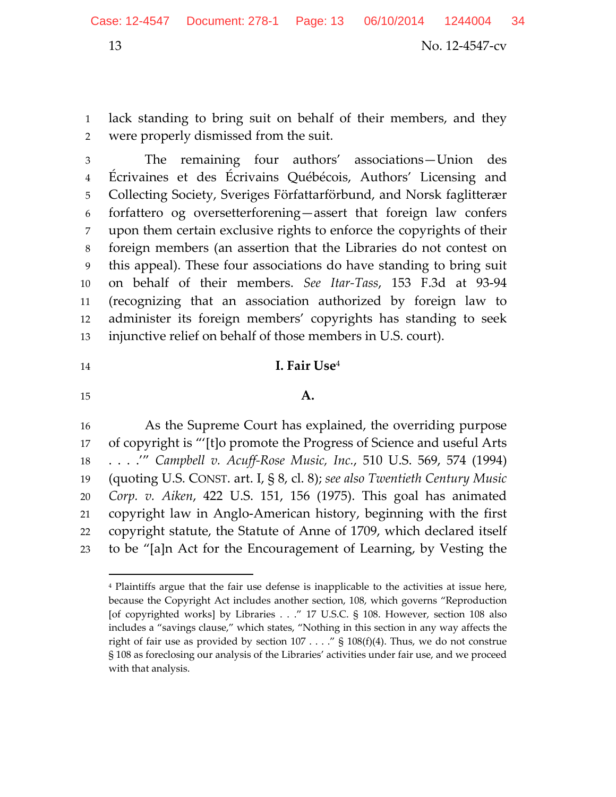lack standing to bring suit on behalf of their members, and they were properly dismissed from the suit.

 The remaining four authors' associations—Union des Écrivaines et des Écrivains Québécois, Authors' Licensing and Collecting Society, Sveriges Författarförbund, and Norsk faglitterær forfattero og oversetterforening—assert that foreign law confers upon them certain exclusive rights to enforce the copyrights of their foreign members (an assertion that the Libraries do not contest on this appeal). These four associations do have standing to bring suit on behalf of their members. *See Itar‐Tass*, 153 F.3d at 93‐94 (recognizing that an association authorized by foreign law to administer its foreign members' copyrights has standing to seek injunctive relief on behalf of those members in U.S. court).

### **14 I. Fair** Use<sup>4</sup>

#### **A.**

 As the Supreme Court has explained, the overriding purpose of copyright is "'[t]o promote the Progress of Science and useful Arts . . . .'" *Campbell v. Acuff‐Rose Music, Inc.*, 510 U.S. 569, 574 (1994) (quoting U.S. CONST. art. I, § 8, cl. 8); *see also Twentieth Century Music Corp. v. Aiken*, 422 U.S. 151, 156 (1975). This goal has animated copyright law in Anglo‐American history, beginning with the first copyright statute, the Statute of Anne of 1709, which declared itself to be "[a]n Act for the Encouragement of Learning, by Vesting the

 Plaintiffs argue that the fair use defense is inapplicable to the activities at issue here, because the Copyright Act includes another section, 108, which governs "Reproduction [of copyrighted works] by Libraries . . ." 17 U.S.C. § 108. However, section 108 also includes a "savings clause," which states, "Nothing in this section in any way affects the right of fair use as provided by section  $107...$   $\%$   $108(f)(4)$ . Thus, we do not construe § 108 as foreclosing our analysis of the Libraries' activities under fair use, and we proceed with that analysis.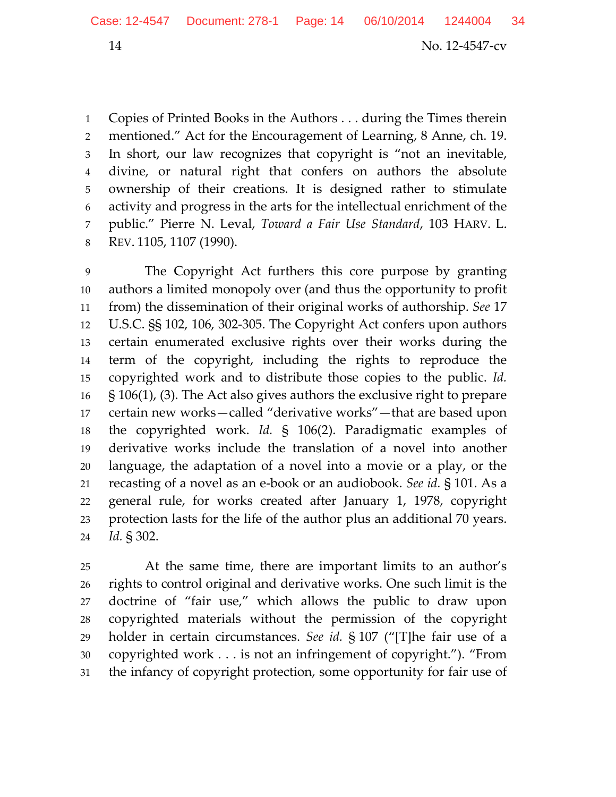Copies of Printed Books in the Authors . . . during the Times therein mentioned." Act for the Encouragement of Learning, 8 Anne, ch. 19. In short, our law recognizes that copyright is "not an inevitable, divine, or natural right that confers on authors the absolute ownership of their creations. It is designed rather to stimulate activity and progress in the arts for the intellectual enrichment of the public." Pierre N. Leval, *Toward a Fair Use Standard*, 103 HARV. L. REV. 1105, 1107 (1990).

 The Copyright Act furthers this core purpose by granting authors a limited monopoly over (and thus the opportunity to profit from) the dissemination of their original works of authorship. *See* 17 U.S.C. §§ 102, 106, 302‐305. The Copyright Act confers upon authors certain enumerated exclusive rights over their works during the term of the copyright, including the rights to reproduce the copyrighted work and to distribute those copies to the public. *Id.* § 106(1), (3). The Act also gives authors the exclusive right to prepare certain new works—called "derivative works"—that are based upon the copyrighted work. *Id.* § 106(2). Paradigmatic examples of derivative works include the translation of a novel into another language, the adaptation of a novel into a movie or a play, or the recasting of a novel as an e‐book or an audiobook. *See id.* § 101. As a general rule, for works created after January 1, 1978, copyright protection lasts for the life of the author plus an additional 70 years. *Id.* § 302.

 At the same time, there are important limits to an author's rights to control original and derivative works. One such limit is the doctrine of "fair use," which allows the public to draw upon copyrighted materials without the permission of the copyright holder in certain circumstances. *See id.* § 107 ("[T]he fair use of a copyrighted work . . . is not an infringement of copyright."). "From the infancy of copyright protection, some opportunity for fair use of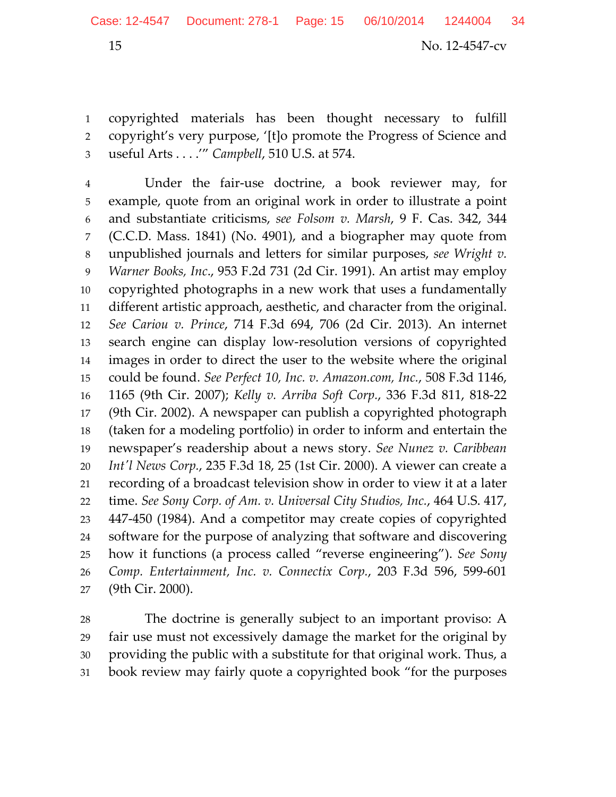copyrighted materials has been thought necessary to fulfill copyright's very purpose, '[t]o promote the Progress of Science and useful Arts . . . .'" *Campbell*, 510 U.S. at 574.

 Under the fair‐use doctrine, a book reviewer may, for example, quote from an original work in order to illustrate a point and substantiate criticisms, *see Folsom v. Marsh*, 9 F. Cas. 342, 344 (C.C.D. Mass. 1841) (No. 4901), and a biographer may quote from unpublished journals and letters for similar purposes, *see Wright v. Warner Books, Inc*., 953 F.2d 731 (2d Cir. 1991). An artist may employ copyrighted photographs in a new work that uses a fundamentally different artistic approach, aesthetic, and character from the original. *See Cariou v. Prince*, 714 F.3d 694, 706 (2d Cir. 2013). An internet search engine can display low‐resolution versions of copyrighted images in order to direct the user to the website where the original could be found. *See Perfect 10, Inc. v. Amazon.com, Inc.*, 508 F.3d 1146, 1165 (9th Cir. 2007); *Kelly v. Arriba Soft Corp.*, 336 F.3d 811, 818‐22 (9th Cir. 2002). A newspaper can publish a copyrighted photograph (taken for a modeling portfolio) in order to inform and entertain the newspaper's readership about a news story. *See Nunez v. Caribbean Intʹl News Corp.*, 235 F.3d 18, 25 (1st Cir. 2000). A viewer can create a recording of a broadcast television show in order to view it at a later time. *See Sony Corp. of Am. v. Universal City Studios, Inc.*, 464 U.S. 417, 447‐450 (1984). And a competitor may create copies of copyrighted software for the purpose of analyzing that software and discovering how it functions (a process called "reverse engineering"). *See Sony Comp. Entertainment, Inc. v. Connectix Corp.*, 203 F.3d 596, 599‐601 (9th Cir. 2000).

 The doctrine is generally subject to an important proviso: A fair use must not excessively damage the market for the original by providing the public with a substitute for that original work. Thus, a book review may fairly quote a copyrighted book "for the purposes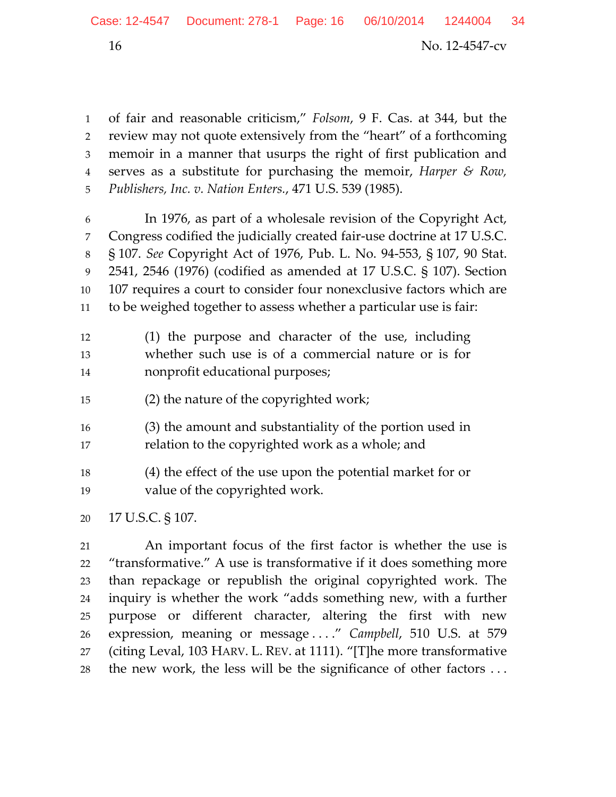of fair and reasonable criticism," *Folsom*, 9 F. Cas. at 344, but the review may not quote extensively from the "heart" of a forthcoming memoir in a manner that usurps the right of first publication and serves as a substitute for purchasing the memoir, *Harper & Row, Publishers, Inc. v. Nation Enters.*, 471 U.S. 539 (1985).

 In 1976, as part of a wholesale revision of the Copyright Act, Congress codified the judicially created fair‐use doctrine at 17 U.S.C. § 107. *See* Copyright Act of 1976, Pub. L. No. 94‐553, § 107, 90 Stat. 2541, 2546 (1976) (codified as amended at 17 U.S.C. § 107). Section 107 requires a court to consider four nonexclusive factors which are to be weighed together to assess whether a particular use is fair:

- (1) the purpose and character of the use, including whether such use is of a commercial nature or is for nonprofit educational purposes;
- (2) the nature of the copyrighted work;
- (3) the amount and substantiality of the portion used in relation to the copyrighted work as a whole; and
- (4) the effect of the use upon the potential market for or value of the copyrighted work.
- 17 U.S.C. § 107.

 An important focus of the first factor is whether the use is "transformative." A use is transformative if it does something more than repackage or republish the original copyrighted work. The inquiry is whether the work "adds something new, with a further purpose or different character, altering the first with new expression, meaning or message . . . ." *Campbell*, 510 U.S. at 579 (citing Leval, 103 HARV. L. REV. at 1111). "[T]he more transformative the new work, the less will be the significance of other factors . . .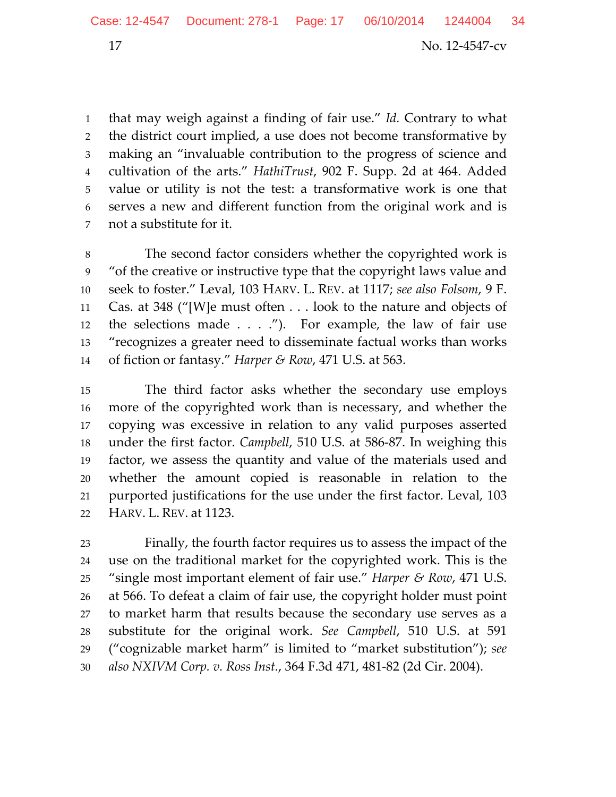that may weigh against a finding of fair use." *Id.* Contrary to what the district court implied, a use does not become transformative by making an "invaluable contribution to the progress of science and cultivation of the arts." *HathiTrust*, 902 F. Supp. 2d at 464. Added value or utility is not the test: a transformative work is one that serves a new and different function from the original work and is not a substitute for it.

 The second factor considers whether the copyrighted work is "of the creative or instructive type that the copyright laws value and seek to foster." Leval, 103 HARV. L. REV. at 1117; *see also Folsom*, 9 F. Cas. at 348 ("[W]e must often . . . look to the nature and objects of 12 the selections made . . . ."). For example, the law of fair use "recognizes a greater need to disseminate factual works than works of fiction or fantasy." *Harper & Row*, 471 U.S. at 563.

 The third factor asks whether the secondary use employs more of the copyrighted work than is necessary, and whether the copying was excessive in relation to any valid purposes asserted under the first factor. *Campbell*, 510 U.S. at 586‐87. In weighing this factor, we assess the quantity and value of the materials used and whether the amount copied is reasonable in relation to the purported justifications for the use under the first factor. Leval, 103 HARV. L. REV. at 1123.

 Finally, the fourth factor requires us to assess the impact of the use on the traditional market for the copyrighted work. This is the "single most important element of fair use." *Harper & Row*, 471 U.S. at 566. To defeat a claim of fair use, the copyright holder must point to market harm that results because the secondary use serves as a substitute for the original work. *See Campbell*, 510 U.S. at 591 ("cognizable market harm" is limited to "market substitution"); *see also NXIVM Corp. v. Ross Inst.*, 364 F.3d 471, 481‐82 (2d Cir. 2004).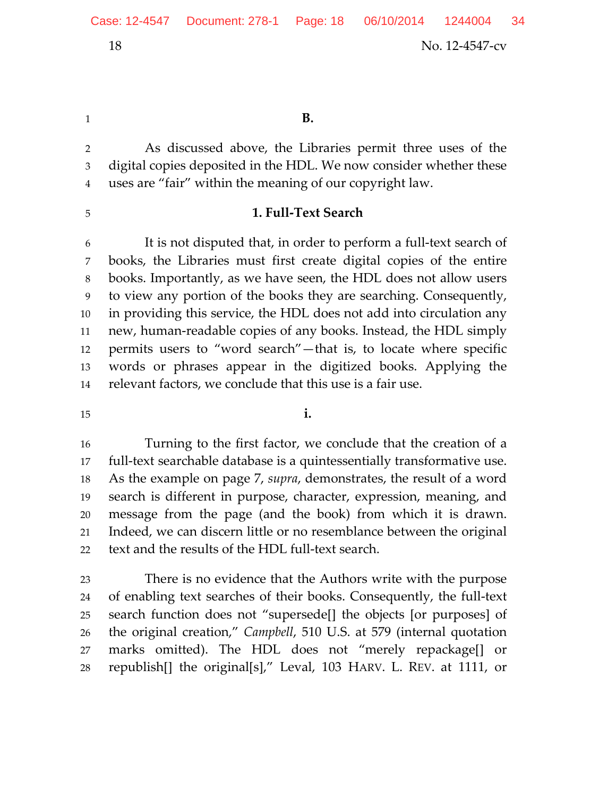$\mathbf{B}$ .

 As discussed above, the Libraries permit three uses of the digital copies deposited in the HDL. We now consider whether these uses are "fair" within the meaning of our copyright law.

# **1. Full‐Text Search**

 It is not disputed that, in order to perform a full‐text search of books, the Libraries must first create digital copies of the entire books. Importantly, as we have seen, the HDL does not allow users to view any portion of the books they are searching. Consequently, in providing this service, the HDL does not add into circulation any new, human‐readable copies of any books. Instead, the HDL simply permits users to "word search"—that is, to locate where specific words or phrases appear in the digitized books. Applying the relevant factors, we conclude that this use is a fair use.

**i.**

 Turning to the first factor, we conclude that the creation of a 17 full-text searchable database is a quintessentially transformative use. As the example on page 7, *supra*, demonstrates, the result of a word search is different in purpose, character, expression, meaning, and message from the page (and the book) from which it is drawn. Indeed, we can discern little or no resemblance between the original text and the results of the HDL full‐text search.

 There is no evidence that the Authors write with the purpose of enabling text searches of their books. Consequently, the full‐text search function does not "supersede[] the objects [or purposes] of the original creation," *Campbell*, 510 U.S. at 579 (internal quotation marks omitted). The HDL does not "merely repackage[] or republish[] the original[s]," Leval, 103 HARV. L. REV. at 1111, or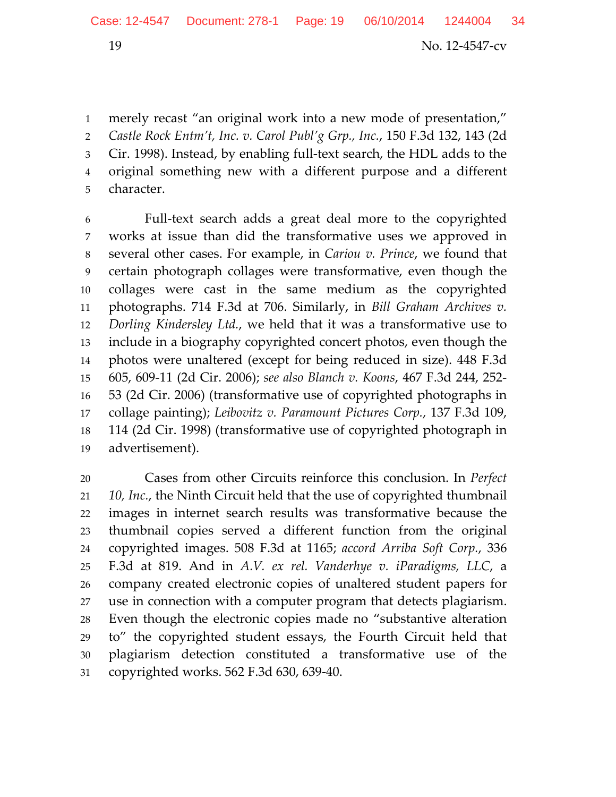merely recast "an original work into a new mode of presentation," *Castle Rock Entm't, Inc. v. Carol Publ'g Grp., Inc.*, 150 F.3d 132, 143 (2d Cir. 1998). Instead, by enabling full‐text search, the HDL adds to the original something new with a different purpose and a different character.

 Full‐text search adds a great deal more to the copyrighted works at issue than did the transformative uses we approved in several other cases. For example, in *Cariou v. Prince*, we found that certain photograph collages were transformative, even though the collages were cast in the same medium as the copyrighted photographs. 714 F.3d at 706. Similarly, in *Bill Graham Archives v. Dorling Kindersley Ltd.*, we held that it was a transformative use to include in a biography copyrighted concert photos, even though the photos were unaltered (except for being reduced in size). 448 F.3d 605, 609‐11 (2d Cir. 2006); *see also Blanch v. Koons*, 467 F.3d 244, 252‐ 53 (2d Cir. 2006) (transformative use of copyrighted photographs in collage painting); *Leibovitz v. Paramount Pictures Corp.*, 137 F.3d 109, 114 (2d Cir. 1998) (transformative use of copyrighted photograph in advertisement).

 Cases from other Circuits reinforce this conclusion. In *Perfect 10, Inc.*, the Ninth Circuit held that the use of copyrighted thumbnail images in internet search results was transformative because the thumbnail copies served a different function from the original copyrighted images. 508 F.3d at 1165; *accord Arriba Soft Corp.*, 336 F.3d at 819. And in *A.V. ex rel. Vanderhye v. iParadigms, LLC*, a company created electronic copies of unaltered student papers for use in connection with a computer program that detects plagiarism. Even though the electronic copies made no "substantive alteration to" the copyrighted student essays, the Fourth Circuit held that plagiarism detection constituted a transformative use of the copyrighted works. 562 F.3d 630, 639‐40.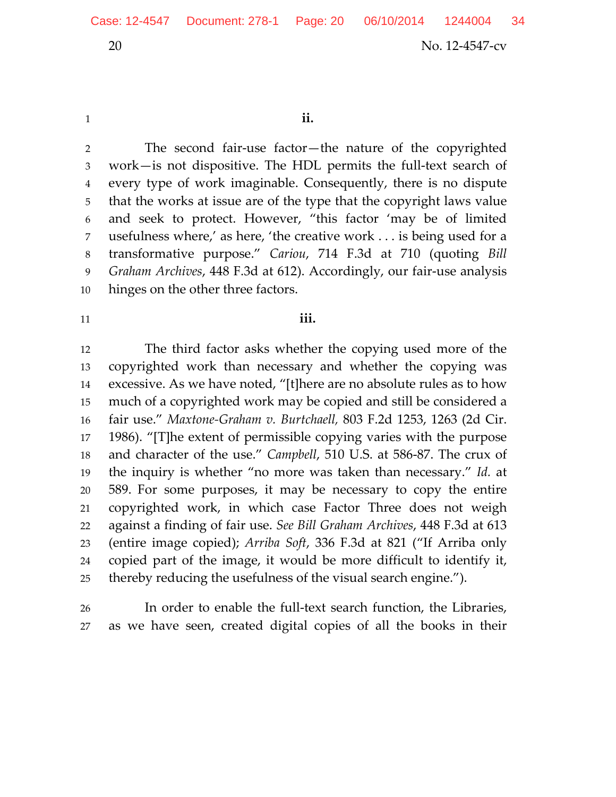**ii.**

 The second fair‐use factor—the nature of the copyrighted work—is not dispositive. The HDL permits the full‐text search of every type of work imaginable. Consequently, there is no dispute that the works at issue are of the type that the copyright laws value and seek to protect. However, "this factor 'may be of limited usefulness where,' as here, 'the creative work . . . is being used for a transformative purpose." *Cariou*, 714 F.3d at 710 (quoting *Bill Graham Archives*, 448 F.3d at 612). Accordingly, our fair‐use analysis hinges on the other three factors.

# **iii.**

 The third factor asks whether the copying used more of the copyrighted work than necessary and whether the copying was excessive. As we have noted, "[t]here are no absolute rules as to how much of a copyrighted work may be copied and still be considered a fair use." *Maxtone‐Graham v. Burtchaell,* 803 F.2d 1253, 1263 (2d Cir. 1986). "[T]he extent of permissible copying varies with the purpose and character of the use." *Campbell*, 510 U.S. at 586‐87. The crux of the inquiry is whether "no more was taken than necessary." *Id.* at 589. For some purposes, it may be necessary to copy the entire copyrighted work, in which case Factor Three does not weigh against a finding of fair use. *See Bill Graham Archives*, 448 F.3d at 613 (entire image copied); *Arriba Soft*, 336 F.3d at 821 ("If Arriba only copied part of the image, it would be more difficult to identify it, thereby reducing the usefulness of the visual search engine.").

26 In order to enable the full-text search function, the Libraries, as we have seen, created digital copies of all the books in their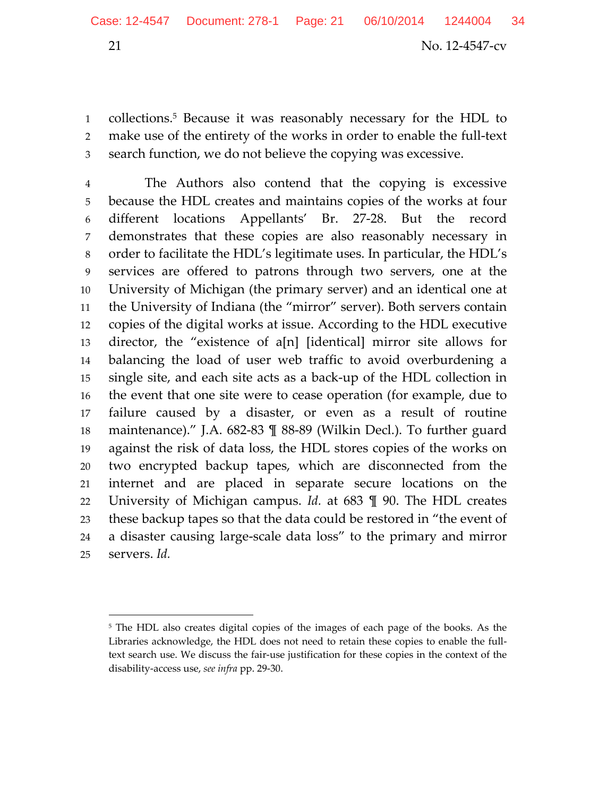1 collections.<sup>5</sup> Because it was reasonably necessary for the HDL to make use of the entirety of the works in order to enable the full‐text search function, we do not believe the copying was excessive.

 The Authors also contend that the copying is excessive because the HDL creates and maintains copies of the works at four different locations Appellants' Br. 27‐28. But the record demonstrates that these copies are also reasonably necessary in order to facilitate the HDL's legitimate uses. In particular, the HDL's services are offered to patrons through two servers, one at the University of Michigan (the primary server) and an identical one at the University of Indiana (the "mirror" server). Both servers contain copies of the digital works at issue. According to the HDL executive director, the "existence of a[n] [identical] mirror site allows for balancing the load of user web traffic to avoid overburdening a single site, and each site acts as a back‐up of the HDL collection in the event that one site were to cease operation (for example, due to failure caused by a disaster, or even as a result of routine 18 maintenance)." J.A. 682-83 ¶ 88-89 (Wilkin Decl.). To further guard against the risk of data loss, the HDL stores copies of the works on two encrypted backup tapes, which are disconnected from the internet and are placed in separate secure locations on the University of Michigan campus. *Id.* at 683 ¶ 90. The HDL creates these backup tapes so that the data could be restored in "the event of a disaster causing large‐scale data loss" to the primary and mirror servers. *Id.*

<sup>&</sup>lt;sup>5</sup> The HDL also creates digital copies of the images of each page of the books. As the Libraries acknowledge, the HDL does not need to retain these copies to enable the fulltext search use. We discuss the fair‐use justification for these copies in the context of the disability‐access use, *see infra* pp. 29‐30.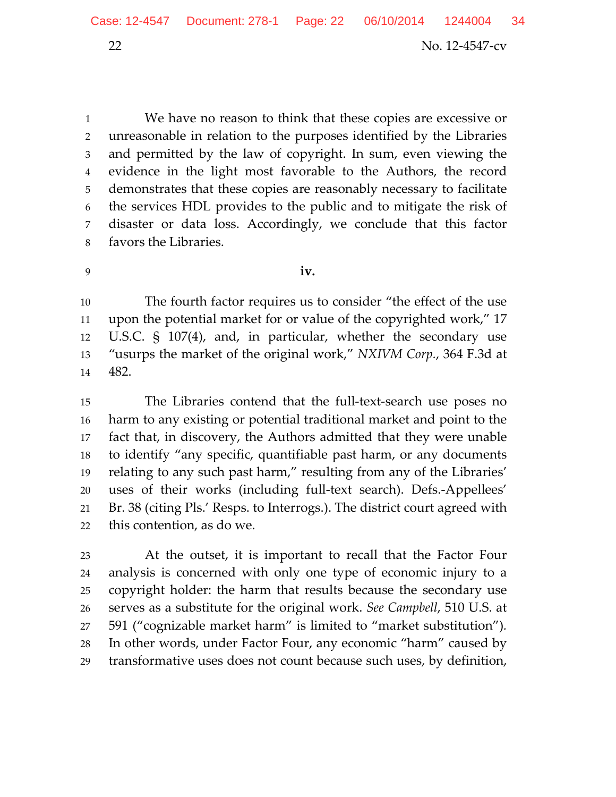We have no reason to think that these copies are excessive or unreasonable in relation to the purposes identified by the Libraries and permitted by the law of copyright. In sum, even viewing the evidence in the light most favorable to the Authors, the record demonstrates that these copies are reasonably necessary to facilitate the services HDL provides to the public and to mitigate the risk of disaster or data loss. Accordingly, we conclude that this factor favors the Libraries.

# **iv.**

 The fourth factor requires us to consider "the effect of the use upon the potential market for or value of the copyrighted work," 17 U.S.C. § 107(4), and, in particular, whether the secondary use "usurps the market of the original work," *NXIVM Corp.*, 364 F.3d at 482.

 The Libraries contend that the full‐text‐search use poses no harm to any existing or potential traditional market and point to the fact that, in discovery, the Authors admitted that they were unable to identify "any specific, quantifiable past harm, or any documents relating to any such past harm," resulting from any of the Libraries' uses of their works (including full‐text search). Defs.‐Appellees' Br. 38 (citing Pls.' Resps. to Interrogs.). The district court agreed with this contention, as do we.

 At the outset, it is important to recall that the Factor Four analysis is concerned with only one type of economic injury to a copyright holder: the harm that results because the secondary use serves as a substitute for the original work. *See Campbell*, 510 U.S. at 591 ("cognizable market harm" is limited to "market substitution")*.* In other words, under Factor Four, any economic "harm" caused by transformative uses does not count because such uses, by definition,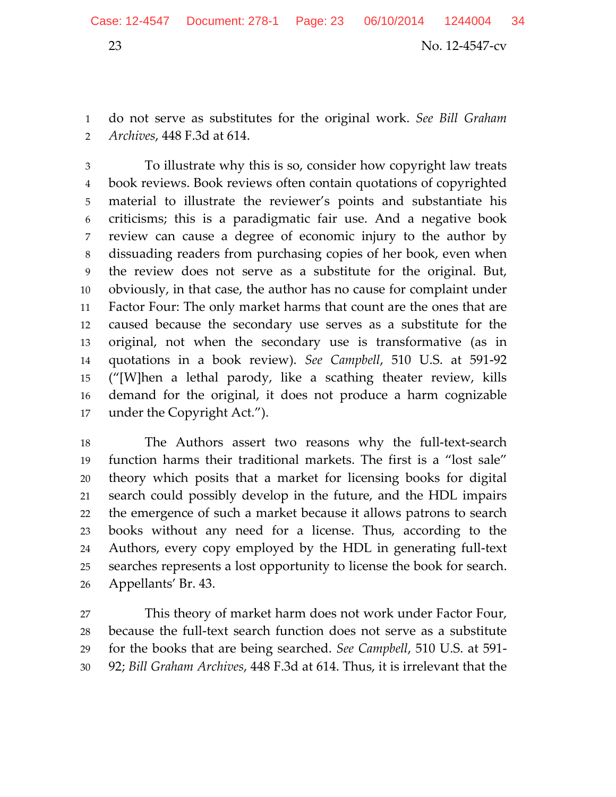do not serve as substitutes for the original work. *See Bill Graham Archives*, 448 F.3d at 614.

 To illustrate why this is so, consider how copyright law treats book reviews. Book reviews often contain quotations of copyrighted material to illustrate the reviewer's points and substantiate his criticisms; this is a paradigmatic fair use. And a negative book review can cause a degree of economic injury to the author by dissuading readers from purchasing copies of her book, even when the review does not serve as a substitute for the original. But, obviously, in that case, the author has no cause for complaint under Factor Four: The only market harms that count are the ones that are caused because the secondary use serves as a substitute for the original, not when the secondary use is transformative (as in quotations in a book review). *See Campbell*, 510 U.S. at 591‐92 ("[W]hen a lethal parody, like a scathing theater review, kills demand for the original, it does not produce a harm cognizable under the Copyright Act.").

18 The Authors assert two reasons why the full-text-search function harms their traditional markets. The first is a "lost sale" theory which posits that a market for licensing books for digital search could possibly develop in the future, and the HDL impairs the emergence of such a market because it allows patrons to search books without any need for a license. Thus, according to the Authors, every copy employed by the HDL in generating full‐text searches represents a lost opportunity to license the book for search. Appellants' Br. 43.

 This theory of market harm does not work under Factor Four, because the full‐text search function does not serve as a substitute for the books that are being searched. *See Campbell*, 510 U.S. at 591‐ 92; *Bill Graham Archives*, 448 F.3d at 614. Thus, it is irrelevant that the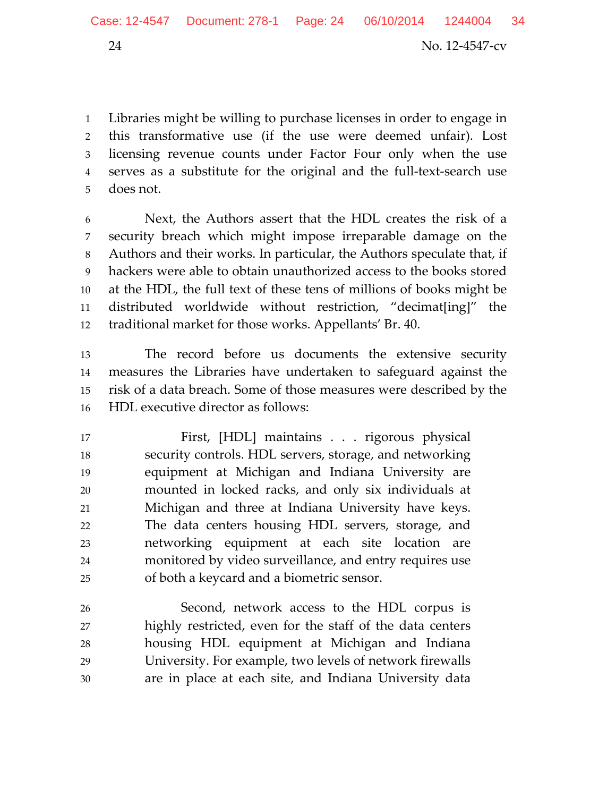Libraries might be willing to purchase licenses in order to engage in this transformative use (if the use were deemed unfair). Lost licensing revenue counts under Factor Four only when the use serves as a substitute for the original and the full‐text‐search use does not.

 Next, the Authors assert that the HDL creates the risk of a security breach which might impose irreparable damage on the Authors and their works. In particular, the Authors speculate that, if hackers were able to obtain unauthorized access to the books stored at the HDL, the full text of these tens of millions of books might be distributed worldwide without restriction, "decimat[ing]" the traditional market for those works. Appellants' Br. 40.

 The record before us documents the extensive security measures the Libraries have undertaken to safeguard against the risk of a data breach. Some of those measures were described by the HDL executive director as follows:

 First, [HDL] maintains . . . rigorous physical security controls. HDL servers, storage, and networking equipment at Michigan and Indiana University are mounted in locked racks, and only six individuals at Michigan and three at Indiana University have keys. The data centers housing HDL servers, storage, and networking equipment at each site location are monitored by video surveillance, and entry requires use of both a keycard and a biometric sensor.

 Second, network access to the HDL corpus is highly restricted, even for the staff of the data centers housing HDL equipment at Michigan and Indiana University. For example, two levels of network firewalls are in place at each site, and Indiana University data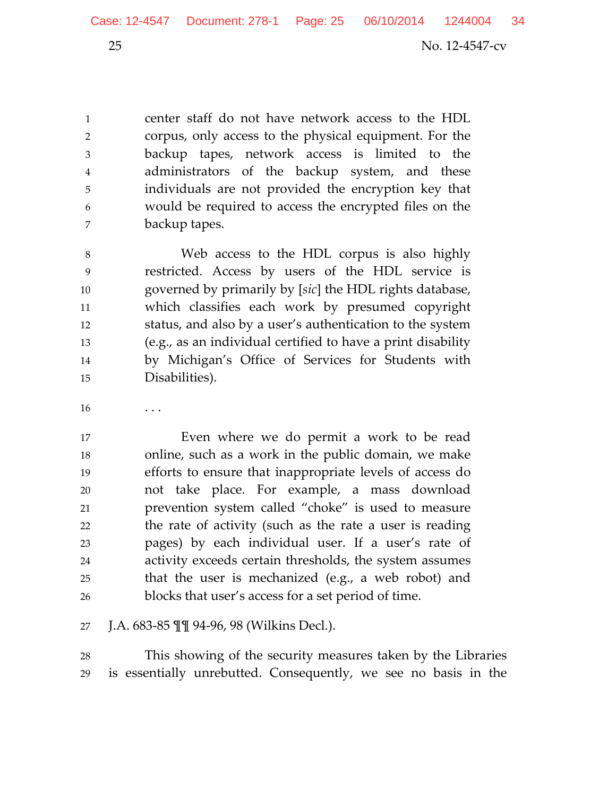center staff do not have network access to the HDL corpus, only access to the physical equipment. For the backup tapes, network access is limited to the administrators of the backup system, and these individuals are not provided the encryption key that would be required to access the encrypted files on the backup tapes.

 Web access to the HDL corpus is also highly restricted. Access by users of the HDL service is governed by primarily by [*sic*] the HDL rights database, which classifies each work by presumed copyright status, and also by a user's authentication to the system (e.g., as an individual certified to have a print disability by Michigan's Office of Services for Students with Disabilities).

. . .

 Even where we do permit a work to be read online, such as a work in the public domain, we make efforts to ensure that inappropriate levels of access do not take place. For example, a mass download prevention system called "choke" is used to measure the rate of activity (such as the rate a user is reading pages) by each individual user. If a user's rate of activity exceeds certain thresholds, the system assumes that the user is mechanized (e.g., a web robot) and blocks that user's access for a set period of time.

J.A. 683‐85 ¶¶ 94‐96, 98 (Wilkins Decl.).

 This showing of the security measures taken by the Libraries is essentially unrebutted. Consequently, we see no basis in the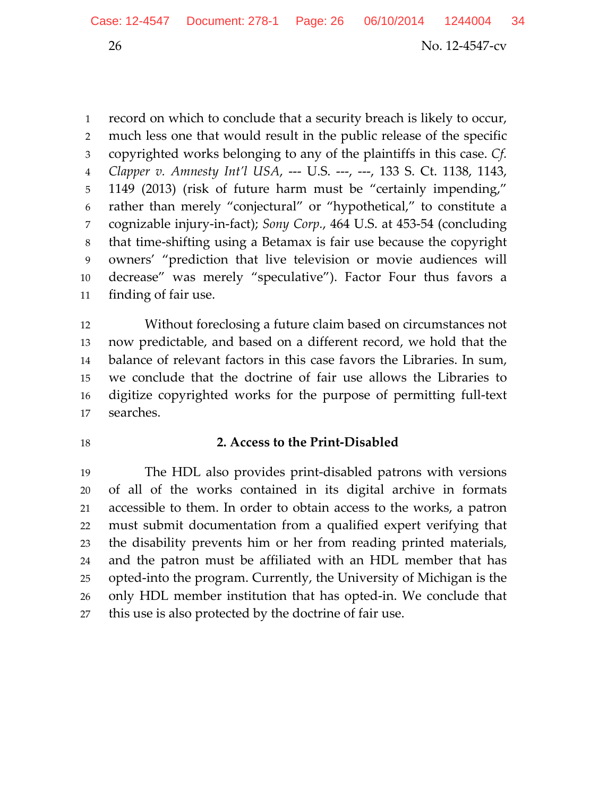record on which to conclude that a security breach is likely to occur, much less one that would result in the public release of the specific copyrighted works belonging to any of the plaintiffs in this case. *Cf. Clapper v. Amnesty Int'l USA*, ‐‐‐ U.S. ‐‐‐, ‐‐‐, 133 S. Ct. 1138, 1143, 1149 (2013) (risk of future harm must be "certainly impending," rather than merely "conjectural" or "hypothetical," to constitute a cognizable injury‐in‐fact); *Sony Corp.*, 464 U.S. at 453‐54 (concluding that time‐shifting using a Betamax is fair use because the copyright owners' "prediction that live television or movie audiences will decrease" was merely "speculative"). Factor Four thus favors a finding of fair use.

 Without foreclosing a future claim based on circumstances not now predictable, and based on a different record, we hold that the balance of relevant factors in this case favors the Libraries. In sum, we conclude that the doctrine of fair use allows the Libraries to digitize copyrighted works for the purpose of permitting full‐text searches.

**2. Access to the Print‐Disabled**

19 The HDL also provides print-disabled patrons with versions of all of the works contained in its digital archive in formats accessible to them. In order to obtain access to the works, a patron must submit documentation from a qualified expert verifying that the disability prevents him or her from reading printed materials, and the patron must be affiliated with an HDL member that has opted‐into the program. Currently, the University of Michigan is the only HDL member institution that has opted‐in. We conclude that this use is also protected by the doctrine of fair use.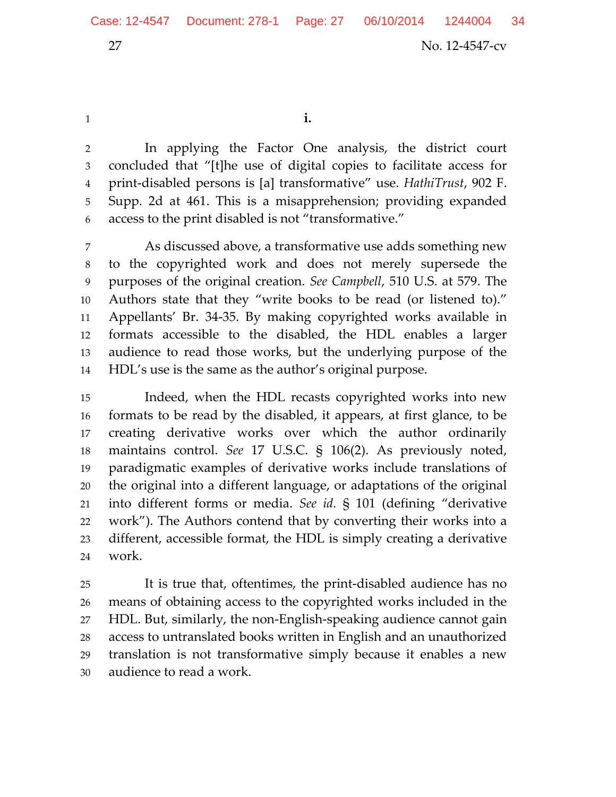**i.**

 In applying the Factor One analysis, the district court concluded that "[t]he use of digital copies to facilitate access for print‐disabled persons is [a] transformative" use. *HathiTrust*, 902 F. Supp. 2d at 461. This is a misapprehension; providing expanded access to the print disabled is not "transformative."

 As discussed above, a transformative use adds something new to the copyrighted work and does not merely supersede the purposes of the original creation. *See Campbell*, 510 U.S. at 579. The Authors state that they "write books to be read (or listened to)." Appellants' Br. 34‐35. By making copyrighted works available in formats accessible to the disabled, the HDL enables a larger audience to read those works, but the underlying purpose of the HDL's use is the same as the author's original purpose.

 Indeed, when the HDL recasts copyrighted works into new formats to be read by the disabled, it appears, at first glance, to be creating derivative works over which the author ordinarily maintains control. *See* 17 U.S.C. § 106(2). As previously noted, paradigmatic examples of derivative works include translations of the original into a different language, or adaptations of the original into different forms or media. *See id.* § 101 (defining "derivative work"). The Authors contend that by converting their works into a different, accessible format, the HDL is simply creating a derivative work.

 It is true that, oftentimes, the print‐disabled audience has no means of obtaining access to the copyrighted works included in the 27 HDL. But, similarly, the non-English-speaking audience cannot gain access to untranslated books written in English and an unauthorized translation is not transformative simply because it enables a new audience to read a work.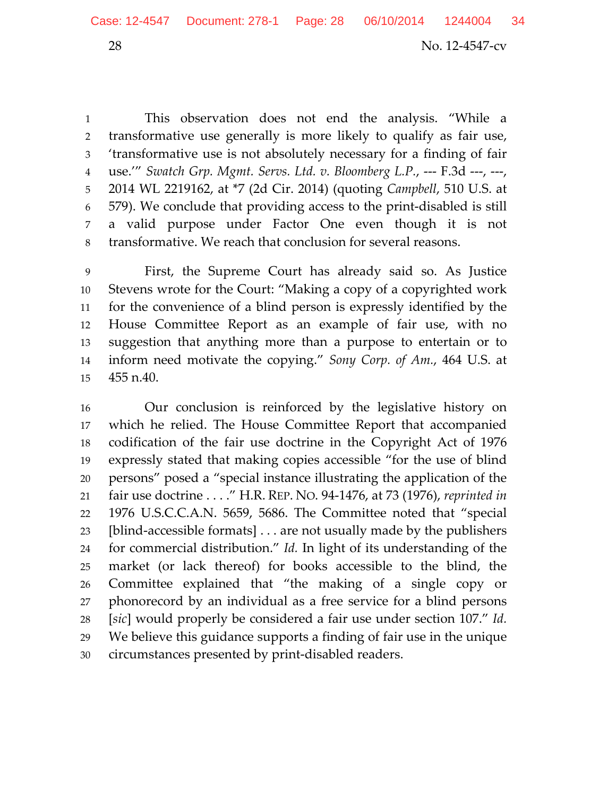This observation does not end the analysis. "While a transformative use generally is more likely to qualify as fair use, 'transformative use is not absolutely necessary for a finding of fair use.'" *Swatch Grp. Mgmt. Servs. Ltd. v. Bloomberg L.P.*, ‐‐‐ F.3d ‐‐‐, ‐‐‐, 2014 WL 2219162, at \*7 (2d Cir. 2014) (quoting *Campbell*, 510 U.S. at 579). We conclude that providing access to the print‐disabled is still a valid purpose under Factor One even though it is not transformative. We reach that conclusion for several reasons.

 First, the Supreme Court has already said so. As Justice Stevens wrote for the Court: "Making a copy of a copyrighted work for the convenience of a blind person is expressly identified by the House Committee Report as an example of fair use, with no suggestion that anything more than a purpose to entertain or to inform need motivate the copying." *Sony Corp. of Am.*, 464 U.S. at 455 n.40.

 Our conclusion is reinforced by the legislative history on which he relied. The House Committee Report that accompanied codification of the fair use doctrine in the Copyright Act of 1976 expressly stated that making copies accessible "for the use of blind persons" posed a "special instance illustrating the application of the fair use doctrine . . . ." H.R. REP. NO. 94‐1476, at 73 (1976), *reprinted in* 1976 U.S.C.C.A.N. 5659, 5686. The Committee noted that "special 23 [blind-accessible formats] . . . are not usually made by the publishers for commercial distribution." *Id.* In light of its understanding of the market (or lack thereof) for books accessible to the blind, the Committee explained that "the making of a single copy or phonorecord by an individual as a free service for a blind persons [*sic*] would properly be considered a fair use under section 107." *Id.* We believe this guidance supports a finding of fair use in the unique circumstances presented by print‐disabled readers.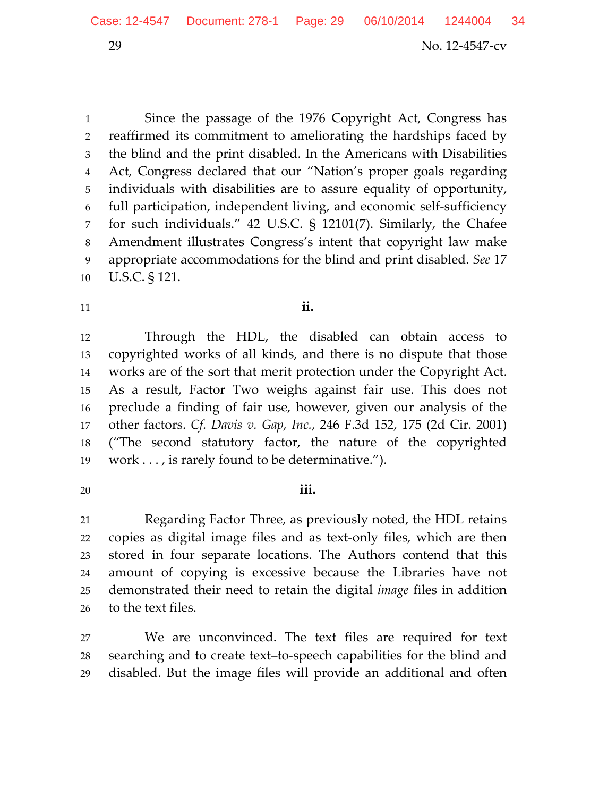Since the passage of the 1976 Copyright Act, Congress has reaffirmed its commitment to ameliorating the hardships faced by the blind and the print disabled. In the Americans with Disabilities Act, Congress declared that our "Nation's proper goals regarding individuals with disabilities are to assure equality of opportunity, full participation, independent living, and economic self‐sufficiency for such individuals." 42 U.S.C. § 12101(7). Similarly, the Chafee Amendment illustrates Congress's intent that copyright law make appropriate accommodations for the blind and print disabled. *See* 17 U.S.C. § 121.

**ii.**

 Through the HDL, the disabled can obtain access to copyrighted works of all kinds, and there is no dispute that those works are of the sort that merit protection under the Copyright Act. As a result, Factor Two weighs against fair use. This does not preclude a finding of fair use, however, given our analysis of the other factors. *Cf. Davis v. Gap, Inc.*, 246 F.3d 152, 175 (2d Cir. 2001) ("The second statutory factor, the nature of the copyrighted work . . . , is rarely found to be determinative.").

# **iii.**

 Regarding Factor Three, as previously noted, the HDL retains copies as digital image files and as text‐only files, which are then stored in four separate locations. The Authors contend that this amount of copying is excessive because the Libraries have not demonstrated their need to retain the digital *image* files in addition to the text files.

 We are unconvinced. The text files are required for text searching and to create text–to‐speech capabilities for the blind and disabled. But the image files will provide an additional and often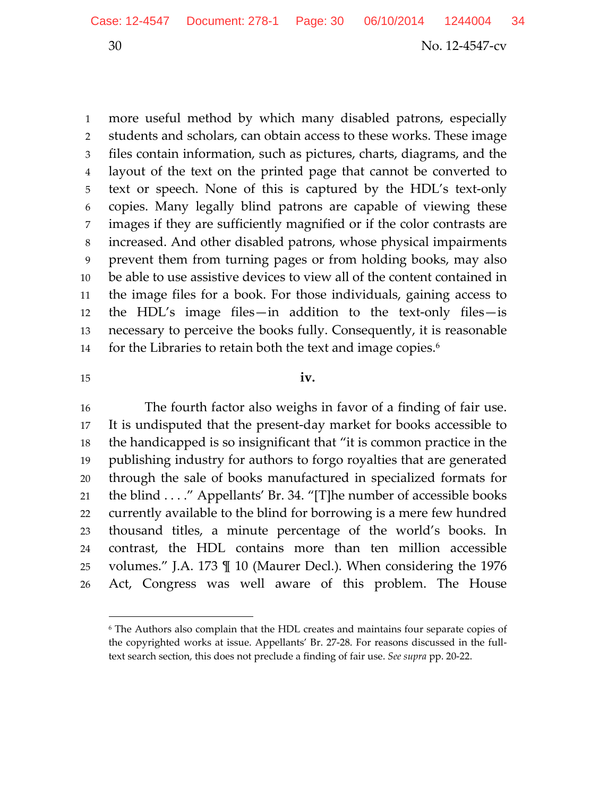more useful method by which many disabled patrons, especially students and scholars, can obtain access to these works. These image files contain information, such as pictures, charts, diagrams, and the layout of the text on the printed page that cannot be converted to 5 text or speech. None of this is captured by the HDL's text-only copies. Many legally blind patrons are capable of viewing these images if they are sufficiently magnified or if the color contrasts are increased. And other disabled patrons, whose physical impairments prevent them from turning pages or from holding books, may also be able to use assistive devices to view all of the content contained in the image files for a book. For those individuals, gaining access to the HDL's image files—in addition to the text‐only files—is necessary to perceive the books fully. Consequently, it is reasonable 14 for the Libraries to retain both the text and image copies.<sup>6</sup>

#### $\mathbf{i}\mathbf{v}$ .  $\mathbf{i}\mathbf{v}$ .

 The fourth factor also weighs in favor of a finding of fair use. It is undisputed that the present‐day market for books accessible to the handicapped is so insignificant that "it is common practice in the publishing industry for authors to forgo royalties that are generated through the sale of books manufactured in specialized formats for the blind . . . ." Appellants' Br. 34. "[T]he number of accessible books currently available to the blind for borrowing is a mere few hundred thousand titles, a minute percentage of the world's books. In contrast, the HDL contains more than ten million accessible volumes." J.A. 173 ¶ 10 (Maurer Decl.). When considering the 1976 Act, Congress was well aware of this problem. The House

 The Authors also complain that the HDL creates and maintains four separate copies of the copyrighted works at issue. Appellants' Br. 27‐28. For reasons discussed in the full‐ text search section, this does not preclude a finding of fair use. *See supra* pp. 20‐22.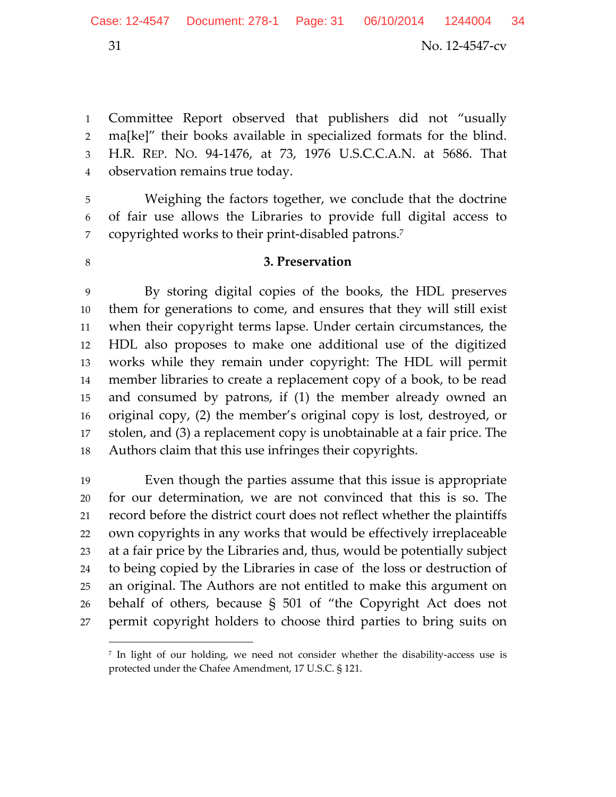Committee Report observed that publishers did not "usually ma[ke]" their books available in specialized formats for the blind. H.R. REP. NO. 94‐1476, at 73, 1976 U.S.C.C.A.N. at 5686. That observation remains true today.

 Weighing the factors together, we conclude that the doctrine of fair use allows the Libraries to provide full digital access to 7 copyrighted works to their print-disabled patrons.<sup>7</sup>

## **3. Preservation**

 By storing digital copies of the books, the HDL preserves them for generations to come, and ensures that they will still exist when their copyright terms lapse. Under certain circumstances, the HDL also proposes to make one additional use of the digitized works while they remain under copyright: The HDL will permit member libraries to create a replacement copy of a book, to be read and consumed by patrons, if (1) the member already owned an original copy, (2) the member's original copy is lost, destroyed, or stolen, and (3) a replacement copy is unobtainable at a fair price. The Authors claim that this use infringes their copyrights.

 Even though the parties assume that this issue is appropriate for our determination, we are not convinced that this is so. The record before the district court does not reflect whether the plaintiffs own copyrights in any works that would be effectively irreplaceable at a fair price by the Libraries and, thus, would be potentially subject to being copied by the Libraries in case of the loss or destruction of an original. The Authors are not entitled to make this argument on behalf of others, because § 501 of "the Copyright Act does not permit copyright holders to choose third parties to bring suits on

 In light of our holding, we need not consider whether the disability‐access use is protected under the Chafee Amendment, 17 U.S.C. § 121.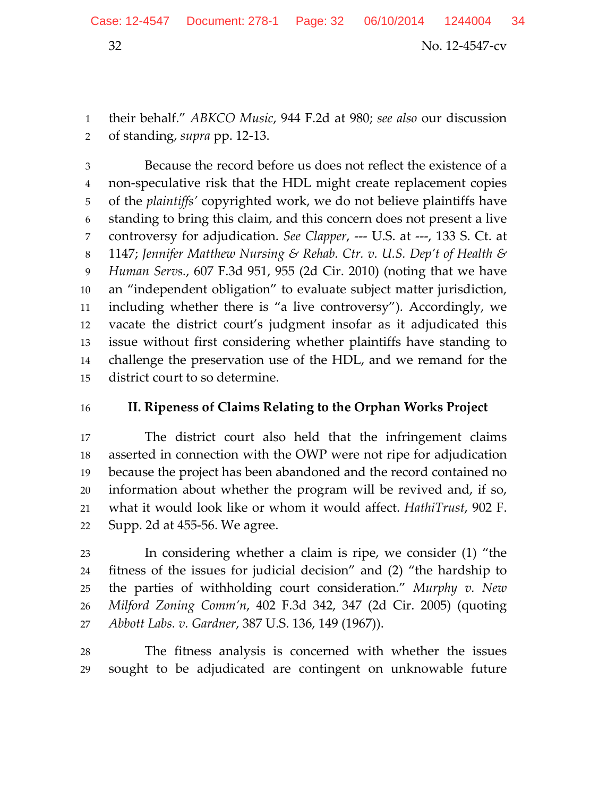Case: 12-4547 Document: 278-1 Page: 32 06/10/2014 1244004 34

32 No. 12-4547-cv

 their behalf." *ABKCO Music*, 944 F.2d at 980; *see also* our discussion of standing, *supra* pp. 12‐13.

 Because the record before us does not reflect the existence of a non‐speculative risk that the HDL might create replacement copies of the *plaintiffs'* copyrighted work, we do not believe plaintiffs have standing to bring this claim, and this concern does not present a live controversy for adjudication. *See Clapper*, ‐‐‐ U.S. at ‐‐‐, 133 S. Ct. at 1147; *Jennifer Matthew Nursing & Rehab. Ctr. v. U.S. Dep't of Health & Human Servs.*, 607 F.3d 951, 955 (2d Cir. 2010) (noting that we have an "independent obligation" to evaluate subject matter jurisdiction, including whether there is "a live controversy"). Accordingly, we vacate the district court's judgment insofar as it adjudicated this issue without first considering whether plaintiffs have standing to challenge the preservation use of the HDL, and we remand for the district court to so determine.

# **II. Ripeness of Claims Relating to the Orphan Works Project**

 The district court also held that the infringement claims asserted in connection with the OWP were not ripe for adjudication because the project has been abandoned and the record contained no information about whether the program will be revived and, if so, what it would look like or whom it would affect. *HathiTrust*, 902 F. Supp. 2d at 455‐56. We agree.

 In considering whether a claim is ripe, we consider (1) "the fitness of the issues for judicial decision" and (2) "the hardship to the parties of withholding court consideration." *Murphy v. New Milford Zoning Comm'n*, 402 F.3d 342, 347 (2d Cir. 2005) (quoting *Abbott Labs. v. Gardner*, 387 U.S. 136, 149 (1967)).

 The fitness analysis is concerned with whether the issues sought to be adjudicated are contingent on unknowable future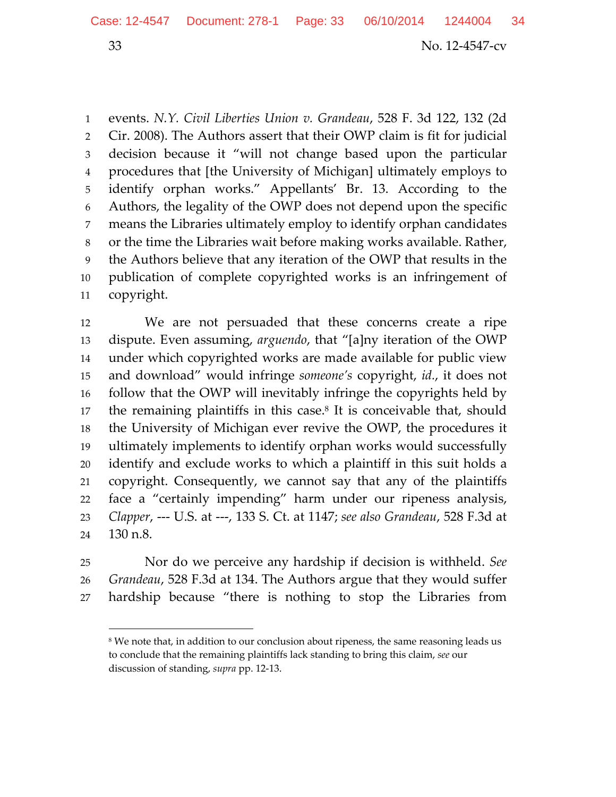events. *N.Y. Civil Liberties Union v. Grandeau*, 528 F. 3d 122, 132 (2d Cir. 2008). The Authors assert that their OWP claim is fit for judicial decision because it "will not change based upon the particular procedures that [the University of Michigan] ultimately employs to identify orphan works." Appellants' Br. 13. According to the Authors, the legality of the OWP does not depend upon the specific means the Libraries ultimately employ to identify orphan candidates or the time the Libraries wait before making works available. Rather, the Authors believe that any iteration of the OWP that results in the publication of complete copyrighted works is an infringement of copyright.

 We are not persuaded that these concerns create a ripe dispute. Even assuming, *arguendo*, that "[a]ny iteration of the OWP under which copyrighted works are made available for public view and download" would infringe *someone's* copyright, *id.*, it does not follow that the OWP will inevitably infringe the copyrights held by 17 the remaining plaintiffs in this case.<sup>8</sup> It is conceivable that, should the University of Michigan ever revive the OWP, the procedures it ultimately implements to identify orphan works would successfully identify and exclude works to which a plaintiff in this suit holds a copyright. Consequently, we cannot say that any of the plaintiffs face a "certainly impending" harm under our ripeness analysis, *Clapper*, ‐‐‐ U.S. at ‐‐‐, 133 S. Ct. at 1147; *see also Grandeau*, 528 F.3d at 130 n.8.

 Nor do we perceive any hardship if decision is withheld. *See Grandeau*, 528 F.3d at 134. The Authors argue that they would suffer hardship because "there is nothing to stop the Libraries from

<sup>&</sup>lt;sup>8</sup> We note that, in addition to our conclusion about ripeness, the same reasoning leads us to conclude that the remaining plaintiffs lack standing to bring this claim, *see* our discussion of standing, *supra* pp. 12‐13.